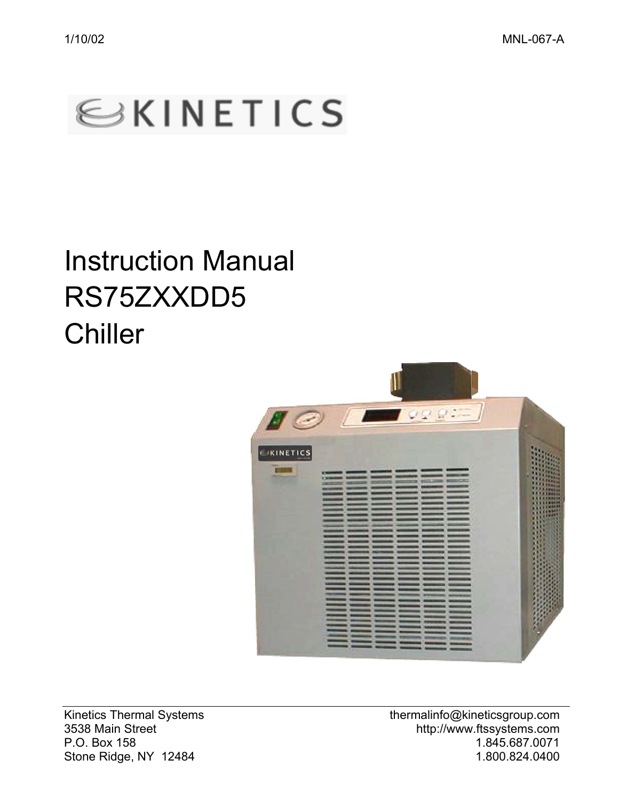

# Instruction Manual RS75ZXXDD5 **Chiller**



Stone Ridge, NY 12484

Kinetics Thermal Systems thermalinfo@kineticsgroup.com 3538 Main Street http://www.ftssystems.com P.O. Box 158 1.845.687.0071<br>Stone Ridge. NY 12484 1.845.687.0071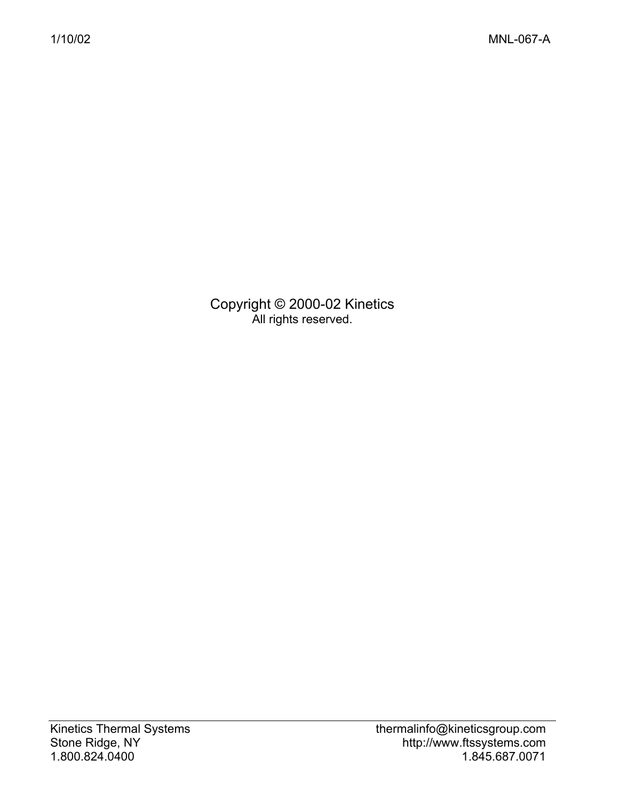Copyright © 2000-02 Kinetics All rights reserved.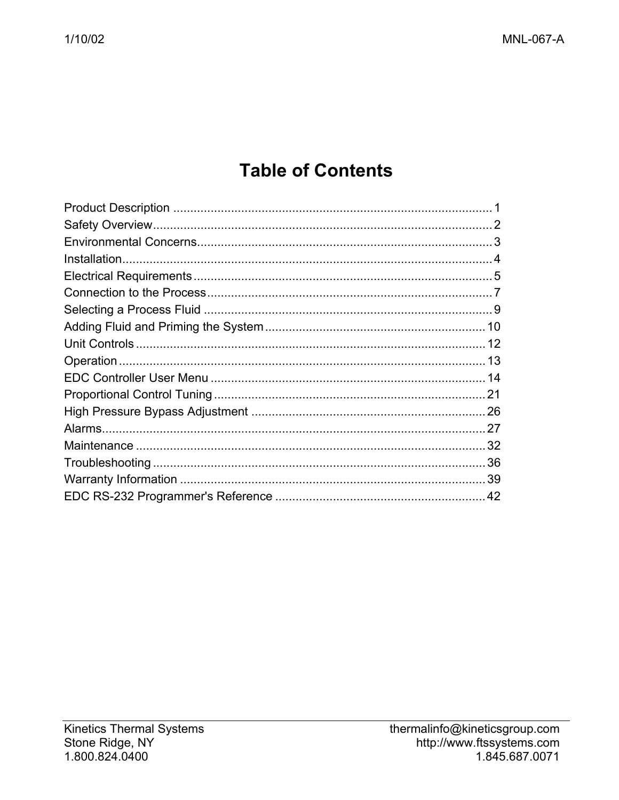# **Table of Contents**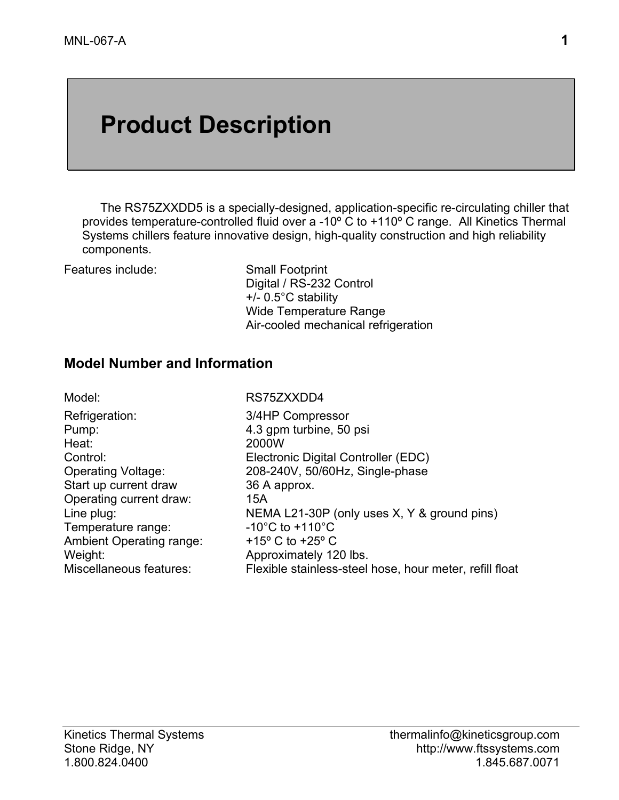# **Product Description**

The RS75ZXXDD5 is a specially-designed, application-specific re-circulating chiller that provides temperature-controlled fluid over a -10º C to +110º C range. All Kinetics Thermal Systems chillers feature innovative design, high-quality construction and high reliability components.

Features include: Small Footprint

 Digital / RS-232 Control +/- 0.5°C stability Wide Temperature Range Air-cooled mechanical refrigeration

#### **Model Number and Information**

| Model:                          | RS75ZXXDD4                                              |
|---------------------------------|---------------------------------------------------------|
| Refrigeration:                  | 3/4HP Compressor                                        |
| Pump:                           | 4.3 gpm turbine, 50 psi                                 |
| Heat:                           | 2000W                                                   |
| Control:                        | Electronic Digital Controller (EDC)                     |
| Operating Voltage:              | 208-240V, 50/60Hz, Single-phase                         |
| Start up current draw           | 36 A approx.                                            |
| Operating current draw:         | 15A                                                     |
| Line plug:                      | NEMA L21-30P (only uses X, Y & ground pins)             |
| Temperature range:              | $-10^{\circ}$ C to $+110^{\circ}$ C                     |
| <b>Ambient Operating range:</b> | +15 $\degree$ C to +25 $\degree$ C                      |
| Weight:                         | Approximately 120 lbs.                                  |
| Miscellaneous features:         | Flexible stainless-steel hose, hour meter, refill float |
|                                 |                                                         |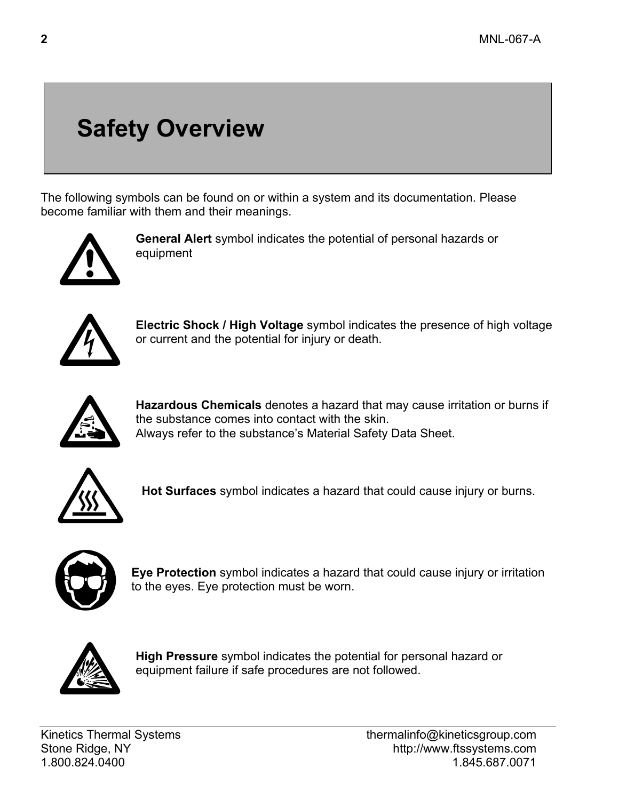# **Safety Overview**

The following symbols can be found on or within a system and its documentation. Please become familiar with them and their meanings.



**General Alert** symbol indicates the potential of personal hazards or equipment



**Electric Shock / High Voltage** symbol indicates the presence of high voltage or current and the potential for injury or death.



**Hazardous Chemicals** denotes a hazard that may cause irritation or burns if the substance comes into contact with the skin. Always refer to the substance's Material Safety Data Sheet.



**Hot Surfaces** symbol indicates a hazard that could cause injury or burns.



**Eye Protection** symbol indicates a hazard that could cause injury or irritation to the eyes. Eye protection must be worn.



**High Pressure** symbol indicates the potential for personal hazard or equipment failure if safe procedures are not followed.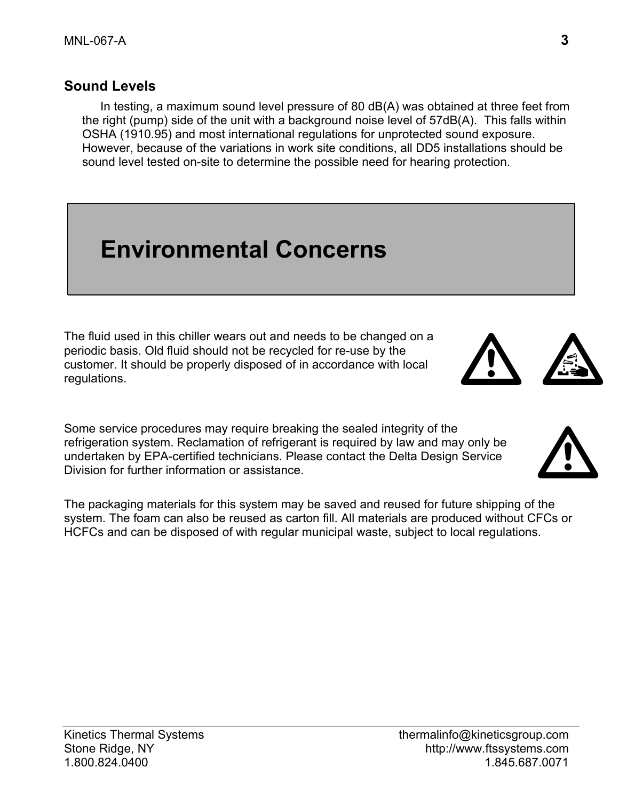#### **Sound Levels**

In testing, a maximum sound level pressure of 80 dB(A) was obtained at three feet from the right (pump) side of the unit with a background noise level of 57dB(A). This falls within OSHA (1910.95) and most international regulations for unprotected sound exposure. However, because of the variations in work site conditions, all DD5 installations should be sound level tested on-site to determine the possible need for hearing protection.

# **Environmental Concerns**

The fluid used in this chiller wears out and needs to be changed on a periodic basis. Old fluid should not be recycled for re-use by the customer. It should be properly disposed of in accordance with local regulations.

Some service procedures may require breaking the sealed integrity of the refrigeration system. Reclamation of refrigerant is required by law and may only be undertaken by EPA-certified technicians. Please contact the Delta Design Service Division for further information or assistance.

The packaging materials for this system may be saved and reused for future shipping of the system. The foam can also be reused as carton fill. All materials are produced without CFCs or HCFCs and can be disposed of with regular municipal waste, subject to local regulations.





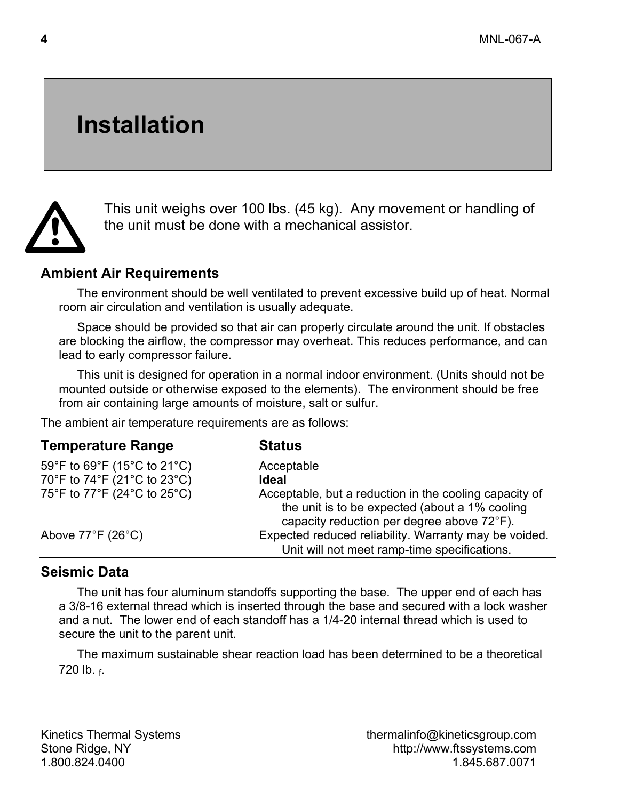# **Installation**



This unit weighs over 100 lbs. (45 kg). Any movement or handling of the unit must be done with a mechanical assistor.

#### **Ambient Air Requirements**

The environment should be well ventilated to prevent excessive build up of heat. Normal room air circulation and ventilation is usually adequate.

Space should be provided so that air can properly circulate around the unit. If obstacles are blocking the airflow, the compressor may overheat. This reduces performance, and can lead to early compressor failure.

This unit is designed for operation in a normal indoor environment. (Units should not be mounted outside or otherwise exposed to the elements). The environment should be free from air containing large amounts of moisture, salt or sulfur.

The ambient air temperature requirements are as follows:

| <b>Temperature Range</b>               | <b>Status</b>                                                                                                                                          |
|----------------------------------------|--------------------------------------------------------------------------------------------------------------------------------------------------------|
| 59°F to 69°F (15°C to 21°C)            | Acceptable                                                                                                                                             |
| 70°F to 74°F (21°C to 23°C)            | <b>Ideal</b>                                                                                                                                           |
| 75°F to 77°F (24°C to 25°C)            | Acceptable, but a reduction in the cooling capacity of<br>the unit is to be expected (about a 1% cooling<br>capacity reduction per degree above 72°F). |
| Above $77^{\circ}$ F (26 $^{\circ}$ C) | Expected reduced reliability. Warranty may be voided.<br>Unit will not meet ramp-time specifications.                                                  |

#### **Seismic Data**

The unit has four aluminum standoffs supporting the base. The upper end of each has a 3/8-16 external thread which is inserted through the base and secured with a lock washer and a nut. The lower end of each standoff has a 1/4-20 internal thread which is used to secure the unit to the parent unit.

The maximum sustainable shear reaction load has been determined to be a theoretical 720 lb. f.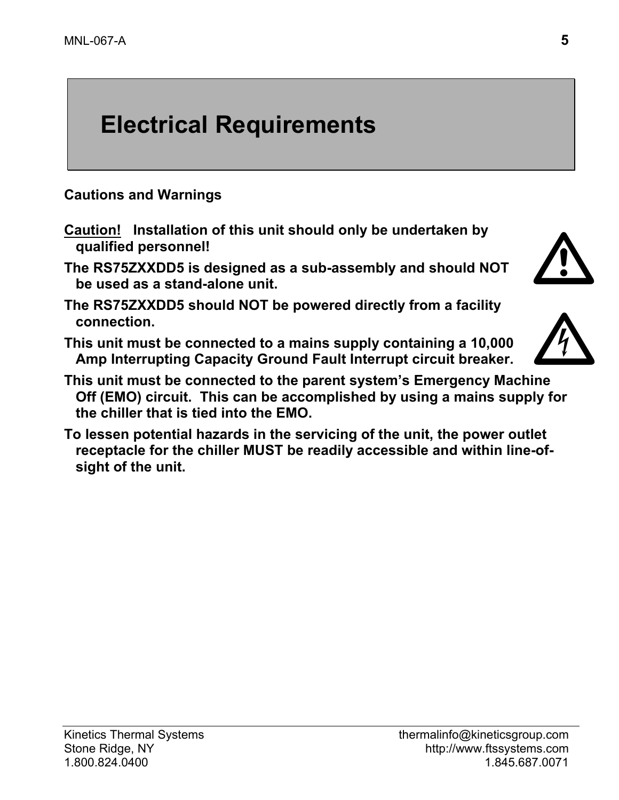# **Electrical Requirements**

**Cautions and Warnings** 

- **Caution! Installation of this unit should only be undertaken by qualified personnel!**
- **The RS75ZXXDD5 is designed as a sub-assembly and should NOT be used as a stand-alone unit.**
- **The RS75ZXXDD5 should NOT be powered directly from a facility connection.**
- **This unit must be connected to a mains supply containing a 10,000 Amp Interrupting Capacity Ground Fault Interrupt circuit breaker.**
- **This unit must be connected to the parent system's Emergency Machine Off (EMO) circuit. This can be accomplished by using a mains supply for the chiller that is tied into the EMO.**
- **To lessen potential hazards in the servicing of the unit, the power outlet receptacle for the chiller MUST be readily accessible and within line-ofsight of the unit.**



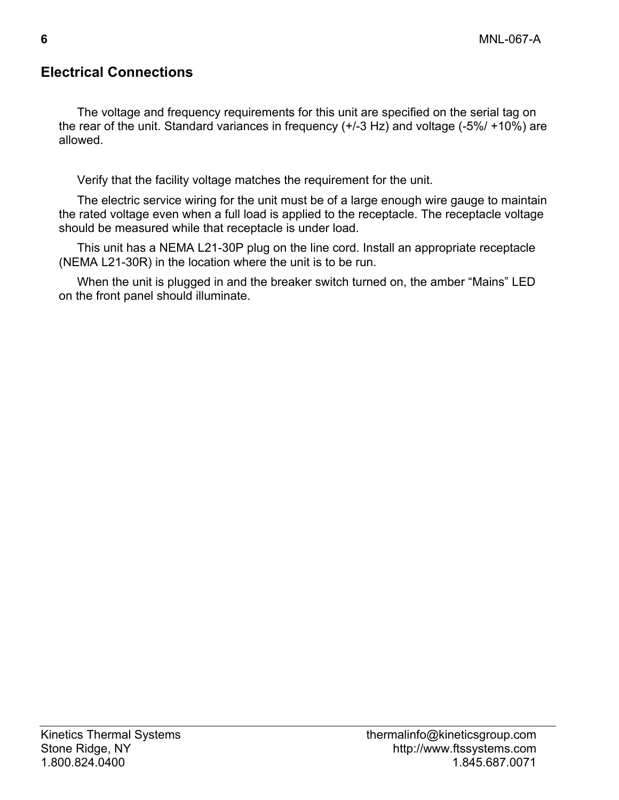### **Electrical Connections**

The voltage and frequency requirements for this unit are specified on the serial tag on the rear of the unit. Standard variances in frequency (+/-3 Hz) and voltage (-5%/ +10%) are allowed.

Verify that the facility voltage matches the requirement for the unit.

The electric service wiring for the unit must be of a large enough wire gauge to maintain the rated voltage even when a full load is applied to the receptacle. The receptacle voltage should be measured while that receptacle is under load.

This unit has a NEMA L21-30P plug on the line cord. Install an appropriate receptacle (NEMA L21-30R) in the location where the unit is to be run.

When the unit is plugged in and the breaker switch turned on, the amber "Mains" LED on the front panel should illuminate.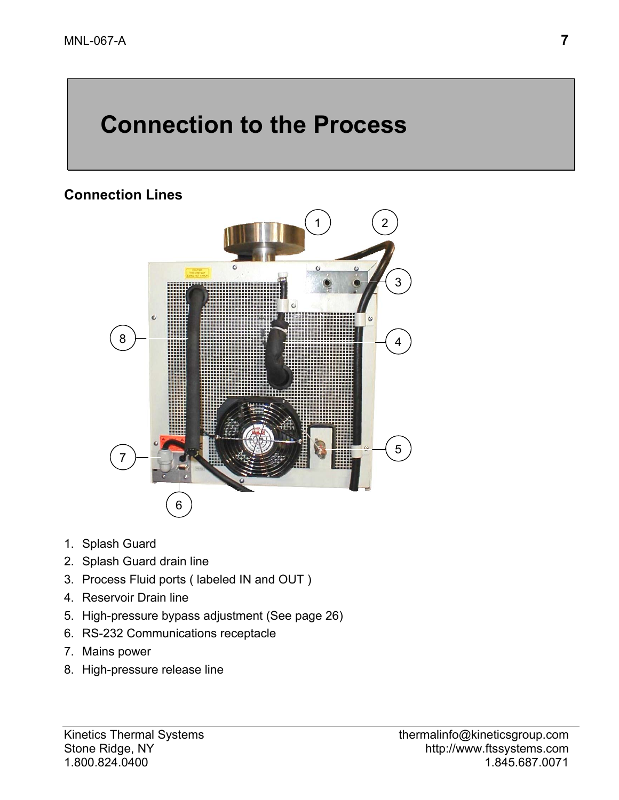# **Connection to the Process**

#### **Connection Lines**



- 1. Splash Guard
- 2. Splash Guard drain line
- 3. Process Fluid ports ( labeled IN and OUT )
- 4. Reservoir Drain line
- 5. High-pressure bypass adjustment (See page 26)
- 6. RS-232 Communications receptacle
- 7. Mains power
- 8. High-pressure release line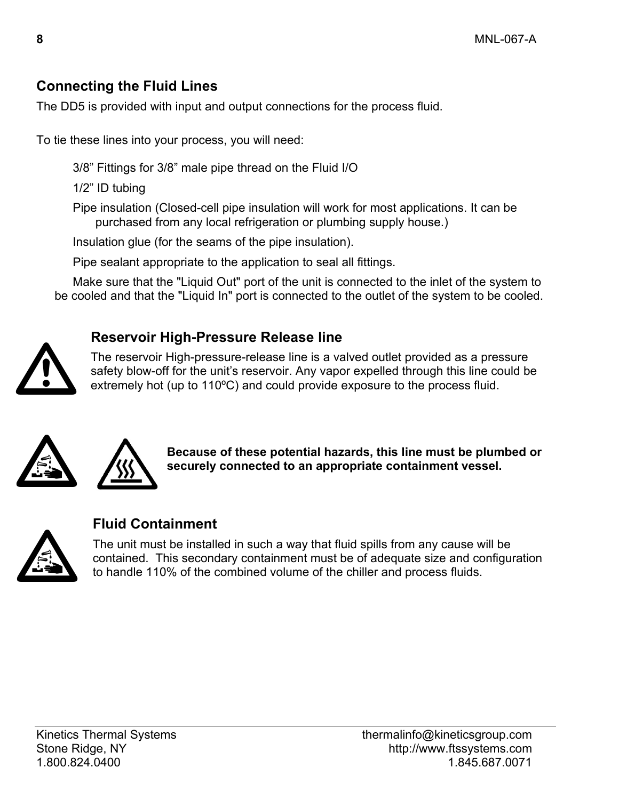### **Connecting the Fluid Lines**

The DD5 is provided with input and output connections for the process fluid.

To tie these lines into your process, you will need:

3/8" Fittings for 3/8" male pipe thread on the Fluid I/O

1/2" ID tubing

Pipe insulation (Closed-cell pipe insulation will work for most applications. It can be purchased from any local refrigeration or plumbing supply house.)

Insulation glue (for the seams of the pipe insulation).

Pipe sealant appropriate to the application to seal all fittings.

Make sure that the "Liquid Out" port of the unit is connected to the inlet of the system to be cooled and that the "Liquid In" port is connected to the outlet of the system to be cooled.

### **Reservoir High-Pressure Release line**

The reservoir High-pressure-release line is a valved outlet provided as a pressure safety blow-off for the unit's reservoir. Any vapor expelled through this line could be extremely hot (up to 110ºC) and could provide exposure to the process fluid.  $\sum_{i=1}^{n}$ 





**Because of these potential hazards, this line must be plumbed or securely connected to an appropriate containment vessel.** 



### **Fluid Containment**

The unit must be installed in such a way that fluid spills from any cause will be contained. This secondary containment must be of adequate size and configuration to handle 110% of the combined volume of the chiller and process fluids.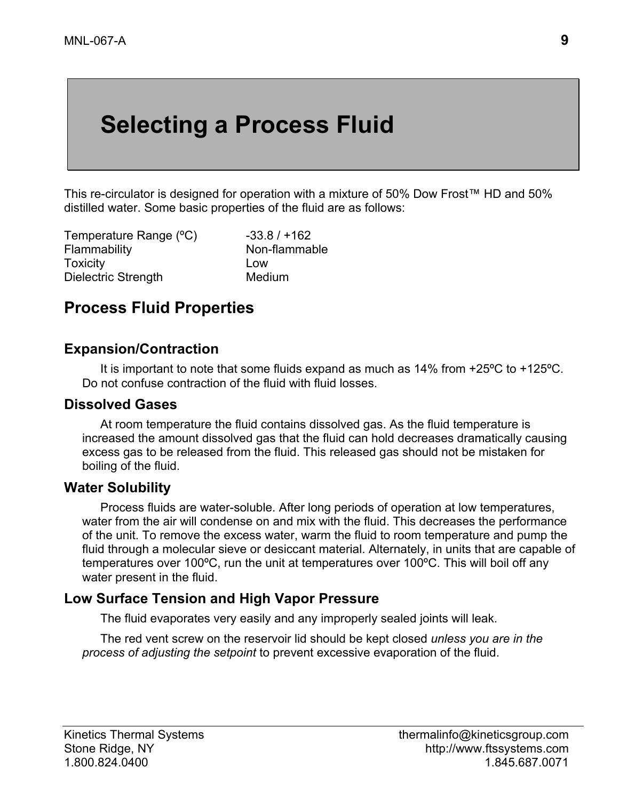# **Selecting a Process Fluid**

This re-circulator is designed for operation with a mixture of 50% Dow Frost™ HD and 50% distilled water. Some basic properties of the fluid are as follows:

Temperature Range  $(^{\circ}C)$  -33.8 / +162 Flammability Non-flammable Toxicity Low Dielectric Strength Medium

## **Process Fluid Properties**

#### **Expansion/Contraction**

It is important to note that some fluids expand as much as 14% from +25ºC to +125ºC. Do not confuse contraction of the fluid with fluid losses.

#### **Dissolved Gases**

At room temperature the fluid contains dissolved gas. As the fluid temperature is increased the amount dissolved gas that the fluid can hold decreases dramatically causing excess gas to be released from the fluid. This released gas should not be mistaken for boiling of the fluid.

#### **Water Solubility**

Process fluids are water-soluble. After long periods of operation at low temperatures, water from the air will condense on and mix with the fluid. This decreases the performance of the unit. To remove the excess water, warm the fluid to room temperature and pump the fluid through a molecular sieve or desiccant material. Alternately, in units that are capable of temperatures over 100ºC, run the unit at temperatures over 100ºC. This will boil off any water present in the fluid.

#### **Low Surface Tension and High Vapor Pressure**

The fluid evaporates very easily and any improperly sealed joints will leak.

The red vent screw on the reservoir lid should be kept closed *unless you are in the process of adjusting the setpoint* to prevent excessive evaporation of the fluid.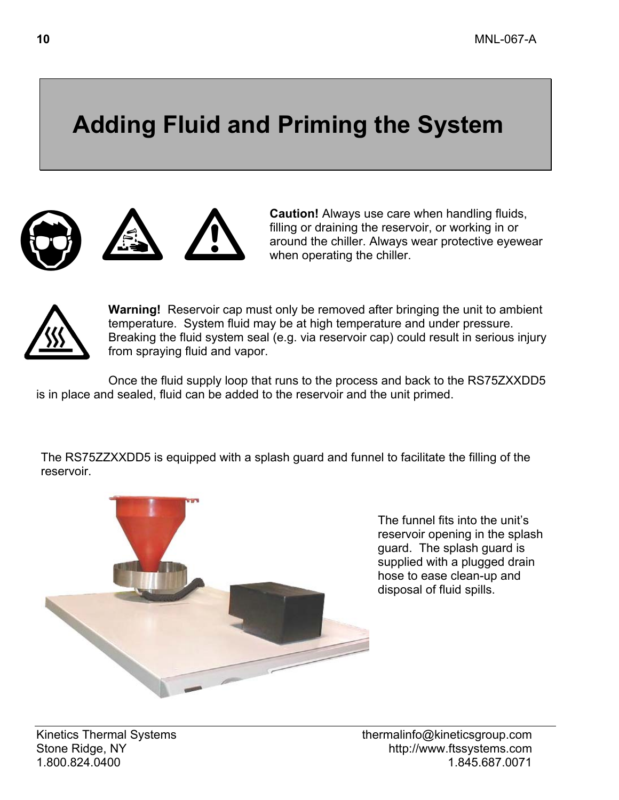# **Adding Fluid and Priming the System**





**Caution!** Always use care when handling fluids, filling or draining the reservoir, or working in or around the chiller. Always wear protective eyewear when operating the chiller.



**Warning!** Reservoir cap must only be removed after bringing the unit to ambient temperature. System fluid may be at high temperature and under pressure. Breaking the fluid system seal (e.g. via reservoir cap) could result in serious injury from spraying fluid and vapor.

Once the fluid supply loop that runs to the process and back to the RS75ZXXDD5 is in place and sealed, fluid can be added to the reservoir and the unit primed.

The RS75ZZXXDD5 is equipped with a splash guard and funnel to facilitate the filling of the reservoir.



The funnel fits into the unit's reservoir opening in the splash guard. The splash guard is supplied with a plugged drain hose to ease clean-up and disposal of fluid spills.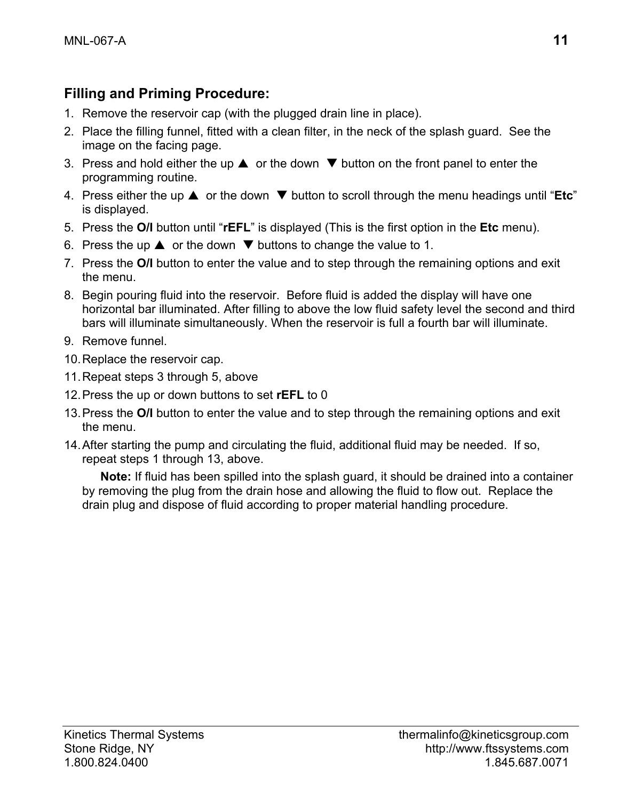### **Filling and Priming Procedure:**

- 1. Remove the reservoir cap (with the plugged drain line in place).
- 2. Place the filling funnel, fitted with a clean filter, in the neck of the splash guard. See the image on the facing page.
- 3. Press and hold either the up  $\blacktriangle$  or the down  $\nabla$  button on the front panel to enter the programming routine.
- 4. Press either the up  $\blacktriangle$  or the down  $\nabla$  button to scroll through the menu headings until "**Etc**" is displayed.
- 5. Press the **O/I** button until "**rEFL**" is displayed (This is the first option in the **Etc** menu).
- 6. Press the up  $\triangle$  or the down  $\nabla$  buttons to change the value to 1.
- 7. Press the **O/I** button to enter the value and to step through the remaining options and exit the menu.
- 8. Begin pouring fluid into the reservoir. Before fluid is added the display will have one horizontal bar illuminated. After filling to above the low fluid safety level the second and third bars will illuminate simultaneously. When the reservoir is full a fourth bar will illuminate.
- 9. Remove funnel.
- 10. Replace the reservoir cap.
- 11. Repeat steps 3 through 5, above
- 12. Press the up or down buttons to set **rEFL** to 0
- 13. Press the **O/I** button to enter the value and to step through the remaining options and exit the menu.
- 14. After starting the pump and circulating the fluid, additional fluid may be needed. If so, repeat steps 1 through 13, above.

**Note:** If fluid has been spilled into the splash guard, it should be drained into a container by removing the plug from the drain hose and allowing the fluid to flow out. Replace the drain plug and dispose of fluid according to proper material handling procedure.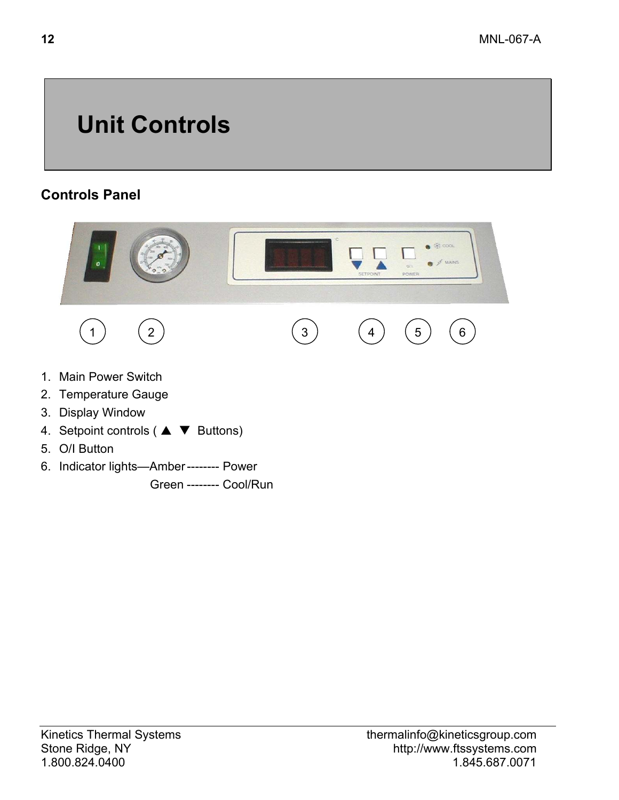# **Unit Controls**

### **Controls Panel**



- 4. Setpoint controls ( $\blacktriangle \blacktriangledown$  Buttons)
- 5. O/I Button
- 6. Indicator lights—Amber -------- Power

Green -------- Cool/Run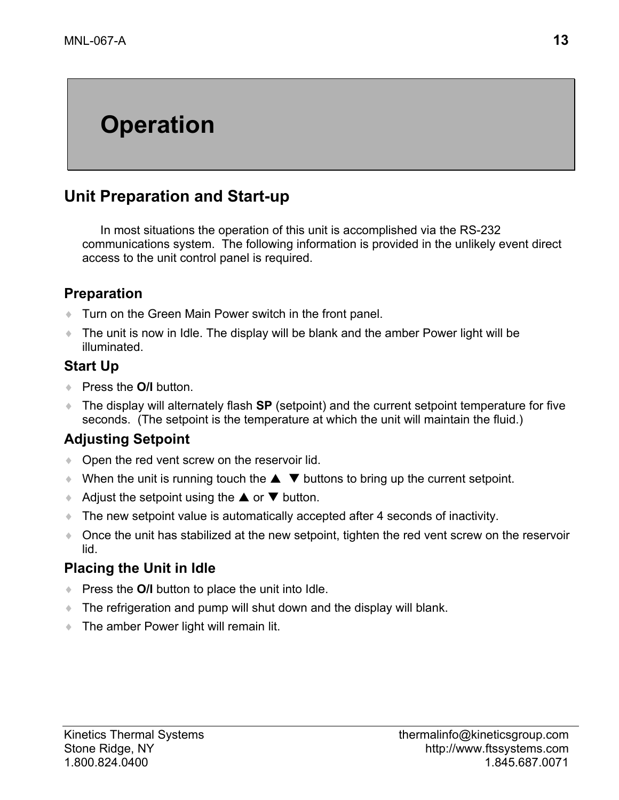# **Operation**

## **Unit Preparation and Start-up**

In most situations the operation of this unit is accomplished via the RS-232 communications system. The following information is provided in the unlikely event direct access to the unit control panel is required.

#### **Preparation**

- ♦ Turn on the Green Main Power switch in the front panel.
- ♦ The unit is now in Idle. The display will be blank and the amber Power light will be illuminated.

#### **Start Up**

- ♦ Press the **O/I** button.
- ♦ The display will alternately flash **SP** (setpoint) and the current setpoint temperature for five seconds. (The setpoint is the temperature at which the unit will maintain the fluid.)

### **Adjusting Setpoint**

- ♦ Open the red vent screw on the reservoir lid.
- $\blacklozenge$  When the unit is running touch the  $\blacktriangle \blacktriangledown$  buttons to bring up the current setpoint.
- Adjust the setpoint using the  $\triangle$  or  $\nabla$  button.
- The new setpoint value is automatically accepted after 4 seconds of inactivity.
- ♦ Once the unit has stabilized at the new setpoint, tighten the red vent screw on the reservoir lid.

#### **Placing the Unit in Idle**

- ♦ Press the **O/I** button to place the unit into Idle.
- ♦ The refrigeration and pump will shut down and the display will blank.
- ♦ The amber Power light will remain lit.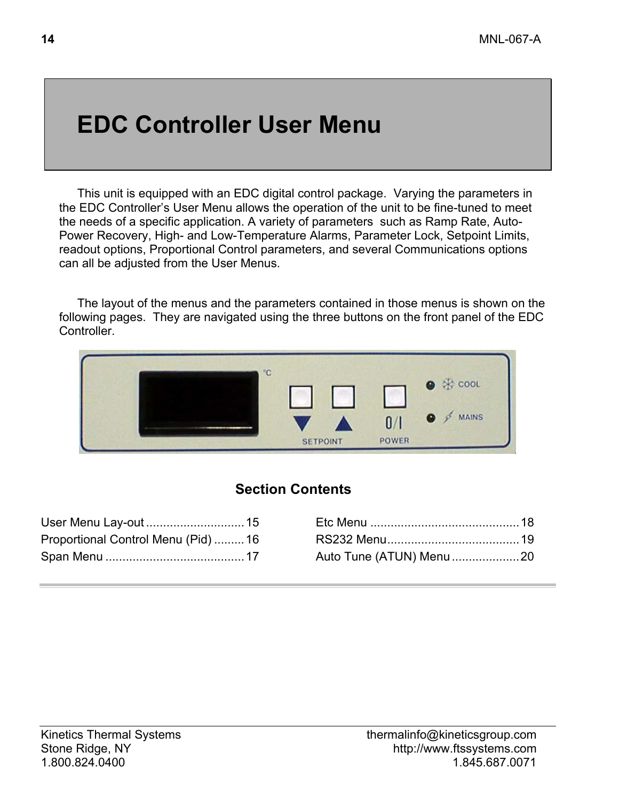# **EDC Controller User Menu**

This unit is equipped with an EDC digital control package. Varying the parameters in the EDC Controller's User Menu allows the operation of the unit to be fine-tuned to meet the needs of a specific application. A variety of parameters such as Ramp Rate, Auto-Power Recovery, High- and Low-Temperature Alarms, Parameter Lock, Setpoint Limits, readout options, Proportional Control parameters, and several Communications options can all be adjusted from the User Menus.

The layout of the menus and the parameters contained in those menus is shown on the following pages. They are navigated using the three buttons on the front panel of the EDC Controller.



### **Section Contents**

| Proportional Control Menu (Pid) 16 |                         |  |
|------------------------------------|-------------------------|--|
|                                    | Auto Tune (ATUN) Menu20 |  |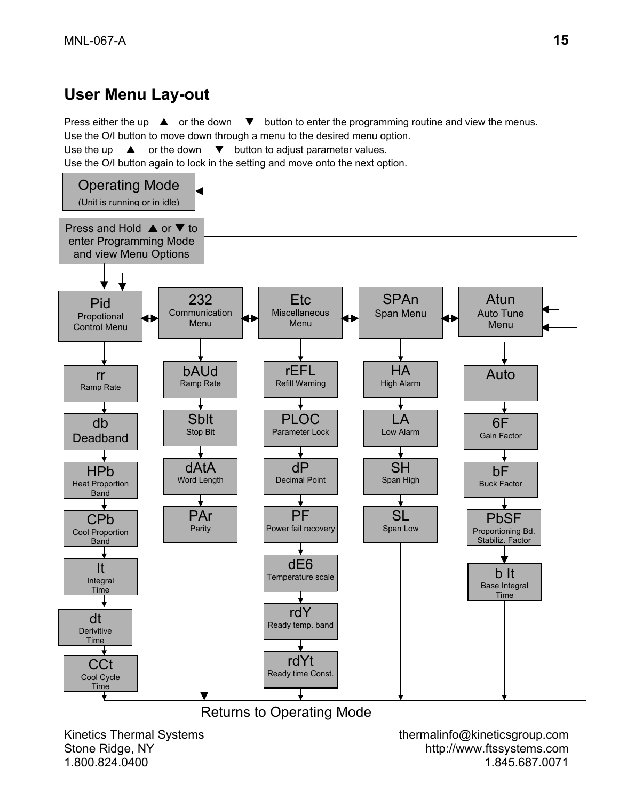## **User Menu Lay-out**

Press either the up  $\blacktriangle$  or the down  $\nabla$  button to enter the programming routine and view the menus. Use the O/I button to move down through a menu to the desired menu option. Use the up  $\triangle$  or the down  $\nabla$  button to adjust parameter values.

Use the O/I button again to lock in the setting and move onto the next option.

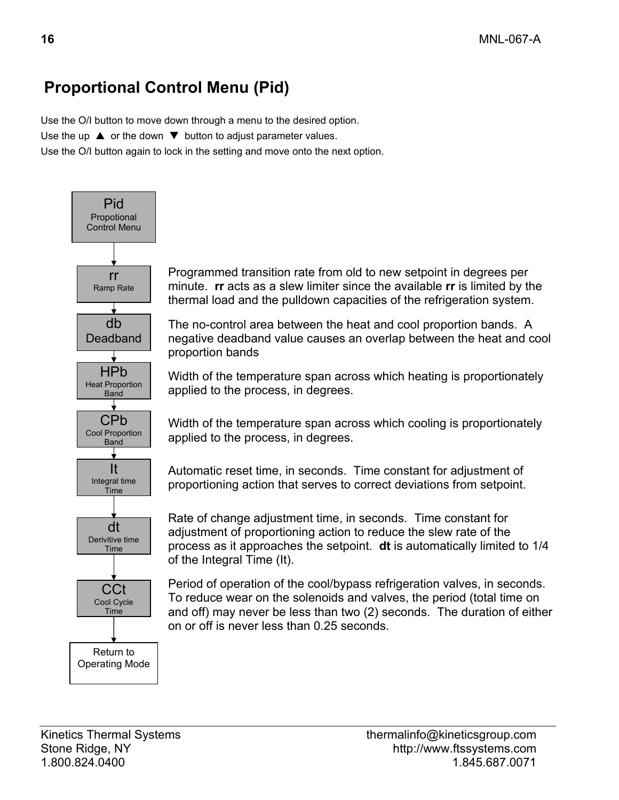# **Proportional Control Menu (Pid)**

Use the O/I button to move down through a menu to the desired option. Use the up  $\triangle$  or the down  $\nabla$  button to adjust parameter values. Use the O/I button again to lock in the setting and move onto the next option.



Programmed transition rate from old to new setpoint in degrees per minute. **rr** acts as a slew limiter since the available **rr** is limited by the thermal load and the pulldown capacities of the refrigeration system.

The no-control area between the heat and cool proportion bands. A negative deadband value causes an overlap between the heat and cool proportion bands

Width of the temperature span across which heating is proportionately applied to the process, in degrees.

Width of the temperature span across which cooling is proportionately applied to the process, in degrees.

Automatic reset time, in seconds. Time constant for adjustment of proportioning action that serves to correct deviations from setpoint.

Rate of change adjustment time, in seconds. Time constant for adjustment of proportioning action to reduce the slew rate of the process as it approaches the setpoint. **dt** is automatically limited to 1/4 of the Integral Time (It).

Period of operation of the cool/bypass refrigeration valves, in seconds. To reduce wear on the solenoids and valves, the period (total time on and off) may never be less than two (2) seconds. The duration of either on or off is never less than 0.25 seconds.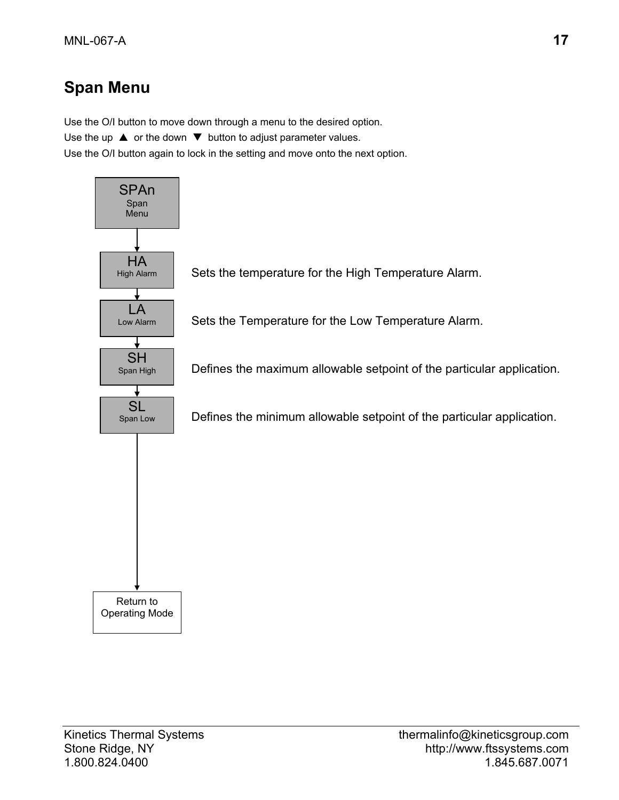# **Span Menu**

Use the O/I button to move down through a menu to the desired option. Use the up  $\triangle$  or the down  $\nabla$  button to adjust parameter values. Use the O/I button again to lock in the setting and move onto the next option.

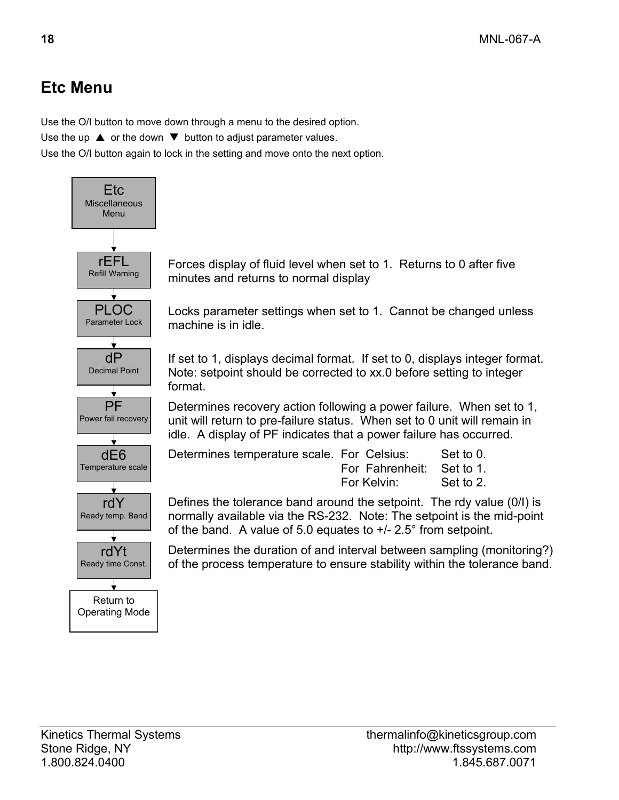# **Etc Menu**

Use the O/I button to move down through a menu to the desired option.

Use the up  $\triangle$  or the down  $\nabla$  button to adjust parameter values.

Use the O/I button again to lock in the setting and move onto the next option.



Forces display of fluid level when set to 1. Returns to 0 after five minutes and returns to normal display

Locks parameter settings when set to 1. Cannot be changed unless

If set to 1, displays decimal format. If set to 0, displays integer format. Note: setpoint should be corrected to xx.0 before setting to integer

Determines recovery action following a power failure. When set to 1, unit will return to pre-failure status. When set to 0 unit will remain in idle. A display of PF indicates that a power failure has occurred.

| Determines temperature scale. For Celsius: |                           | Set to 0. |
|--------------------------------------------|---------------------------|-----------|
|                                            | For Fahrenheit: Set to 1. |           |
|                                            | For Kelvin:               | Set to 2. |

Defines the tolerance band around the setpoint. The rdy value (0/I) is normally available via the RS-232. Note: The setpoint is the mid-point of the band. A value of 5.0 equates to +/- 2.5° from setpoint.

Determines the duration of and interval between sampling (monitoring?) of the process temperature to ensure stability within the tolerance band.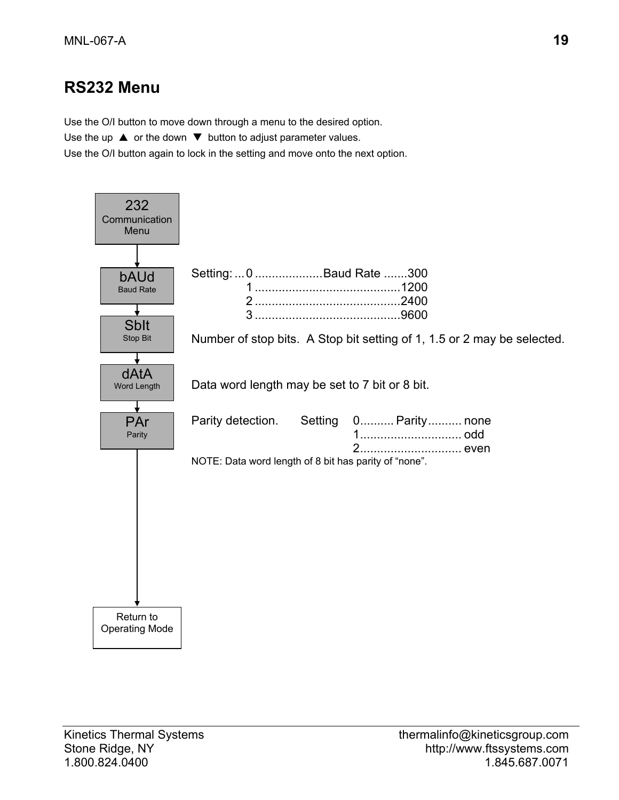## **RS232 Menu**

Use the O/I button to move down through a menu to the desired option.

Use the up  $\triangle$  or the down  $\nabla$  button to adjust parameter values.

Use the O/I button again to lock in the setting and move onto the next option.

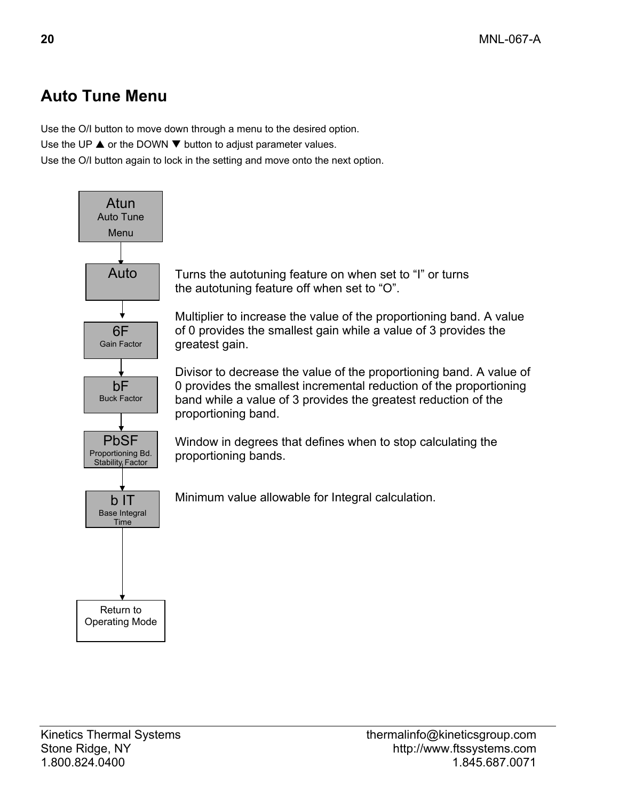# **Auto Tune Menu**

Use the O/I button to move down through a menu to the desired option.

Use the UP  $\triangle$  or the DOWN  $\nabla$  button to adjust parameter values.

Use the O/I button again to lock in the setting and move onto the next option.

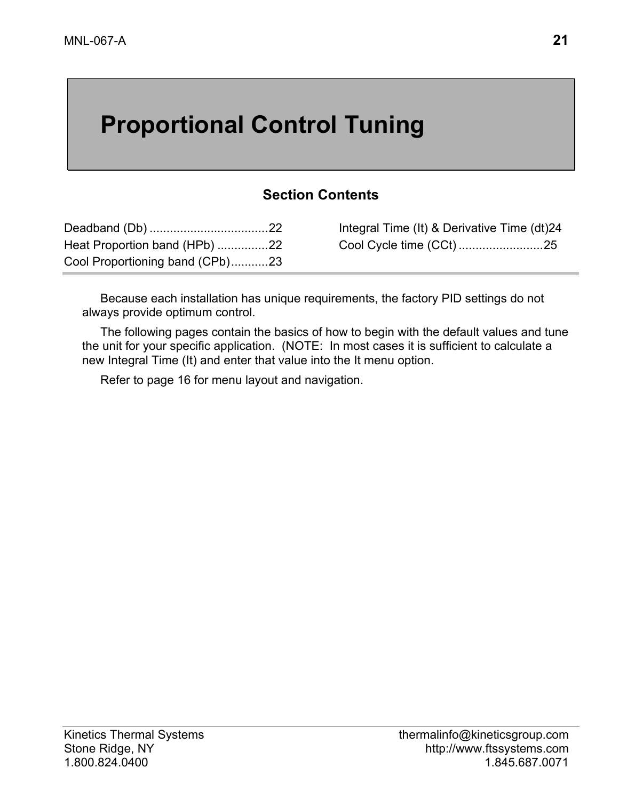# **Proportional Control Tuning**

#### **Section Contents**

| Heat Proportion band (HPb) 22   |  |
|---------------------------------|--|
| Cool Proportioning band (CPb)23 |  |

Integral Time (It) & Derivative Time (dt)24 Cool Cycle time (CCt) .........................25

Because each installation has unique requirements, the factory PID settings do not always provide optimum control.

The following pages contain the basics of how to begin with the default values and tune the unit for your specific application. (NOTE: In most cases it is sufficient to calculate a new Integral Time (It) and enter that value into the It menu option.

Refer to page 16 for menu layout and navigation.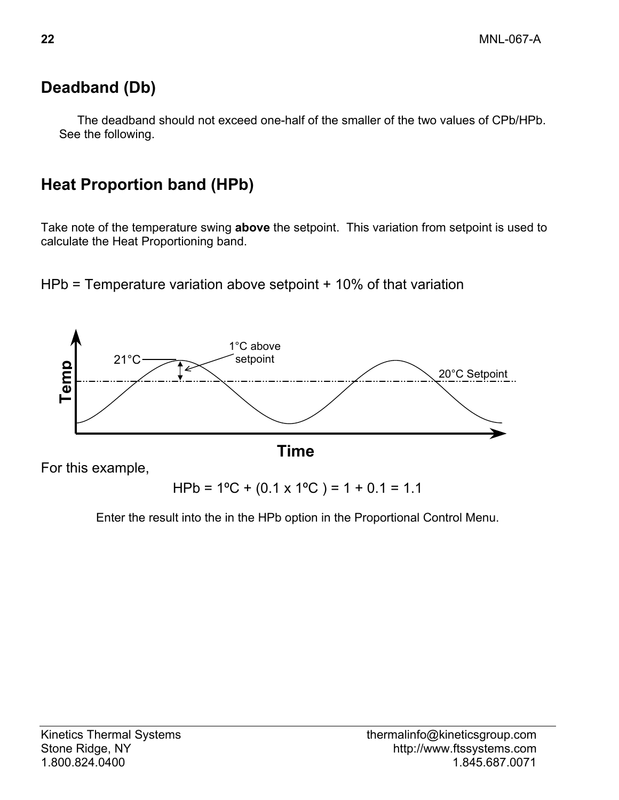# **Deadband (Db)**

The deadband should not exceed one-half of the smaller of the two values of CPb/HPb. See the following.

# **Heat Proportion band (HPb)**

Take note of the temperature swing **above** the setpoint. This variation from setpoint is used to calculate the Heat Proportioning band.

HPb = Temperature variation above setpoint + 10% of that variation



Enter the result into the in the HPb option in the Proportional Control Menu.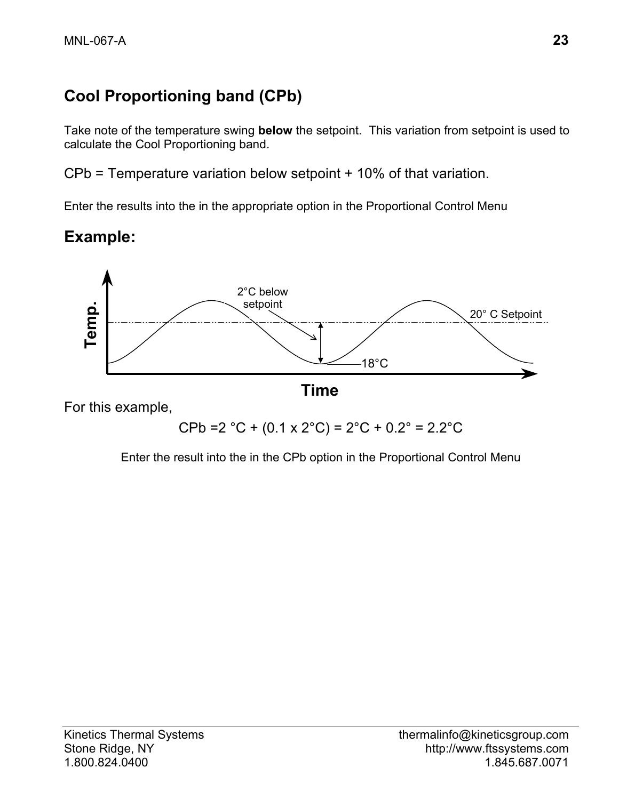# **Cool Proportioning band (CPb)**

Take note of the temperature swing **below** the setpoint. This variation from setpoint is used to calculate the Cool Proportioning band.

CPb = Temperature variation below setpoint + 10% of that variation.

Enter the results into the in the appropriate option in the Proportional Control Menu

## **Example:**



For this example,

 $CPb = 2 °C + (0.1 \times 2 °C) = 2 °C + 0.2 ° = 2.2 °C$ 

Enter the result into the in the CPb option in the Proportional Control Menu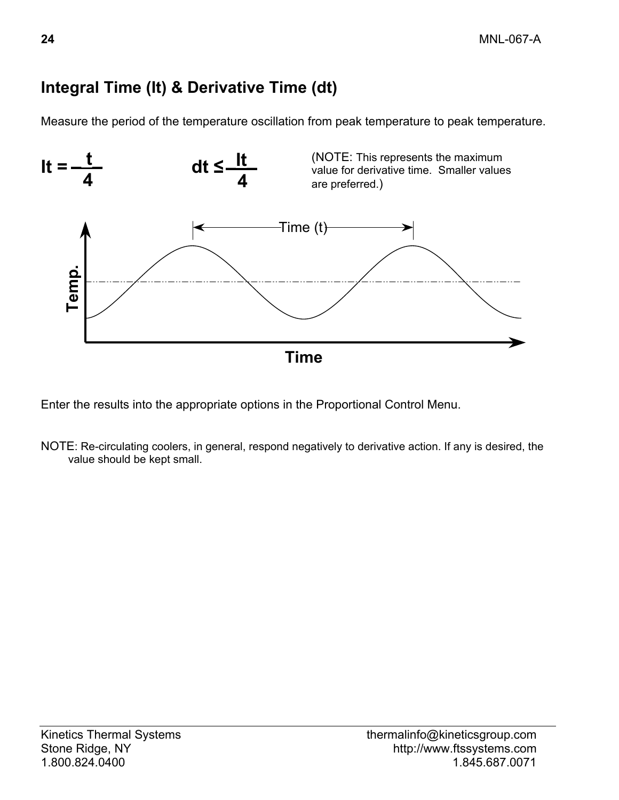# **Integral Time (It) & Derivative Time (dt)**

Measure the period of the temperature oscillation from peak temperature to peak temperature.



Enter the results into the appropriate options in the Proportional Control Menu.

NOTE: Re-circulating coolers, in general, respond negatively to derivative action. If any is desired, the value should be kept small.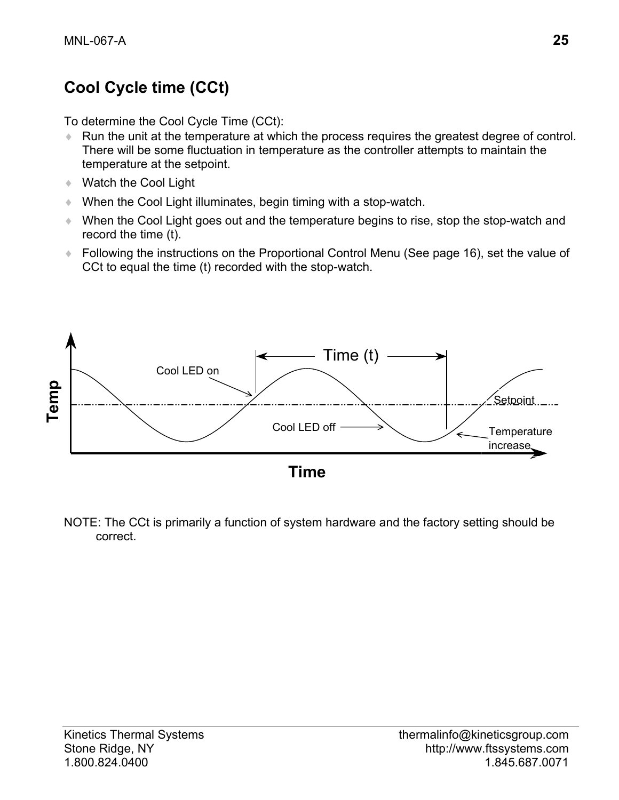# **Cool Cycle time (CCt)**

To determine the Cool Cycle Time (CCt):

- ♦ Run the unit at the temperature at which the process requires the greatest degree of control. There will be some fluctuation in temperature as the controller attempts to maintain the temperature at the setpoint.
- ♦ Watch the Cool Light
- ♦ When the Cool Light illuminates, begin timing with a stop-watch.
- ♦ When the Cool Light goes out and the temperature begins to rise, stop the stop-watch and record the time (t).
- ♦ Following the instructions on the Proportional Control Menu (See page 16), set the value of CCt to equal the time (t) recorded with the stop-watch.



NOTE: The CCt is primarily a function of system hardware and the factory setting should be correct.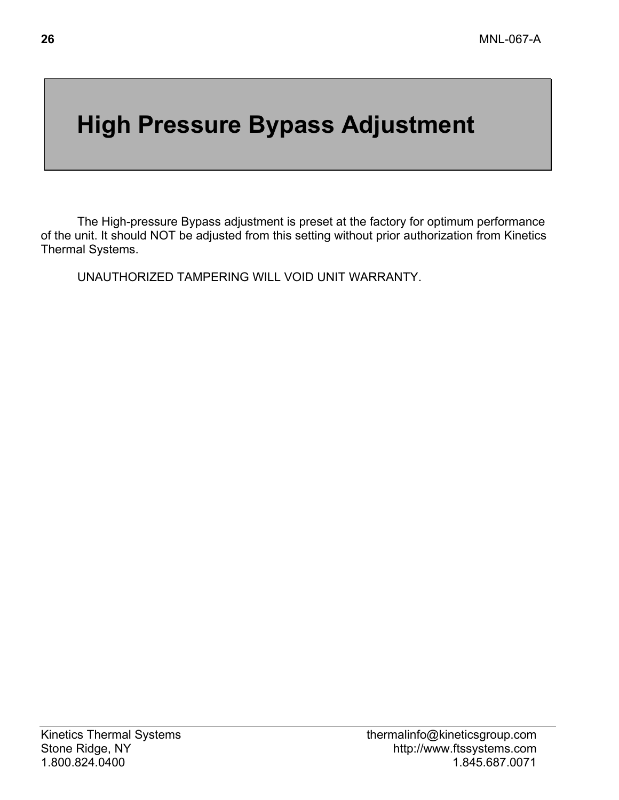# **High Pressure Bypass Adjustment**

The High-pressure Bypass adjustment is preset at the factory for optimum performance of the unit. It should NOT be adjusted from this setting without prior authorization from Kinetics Thermal Systems.

UNAUTHORIZED TAMPERING WILL VOID UNIT WARRANTY.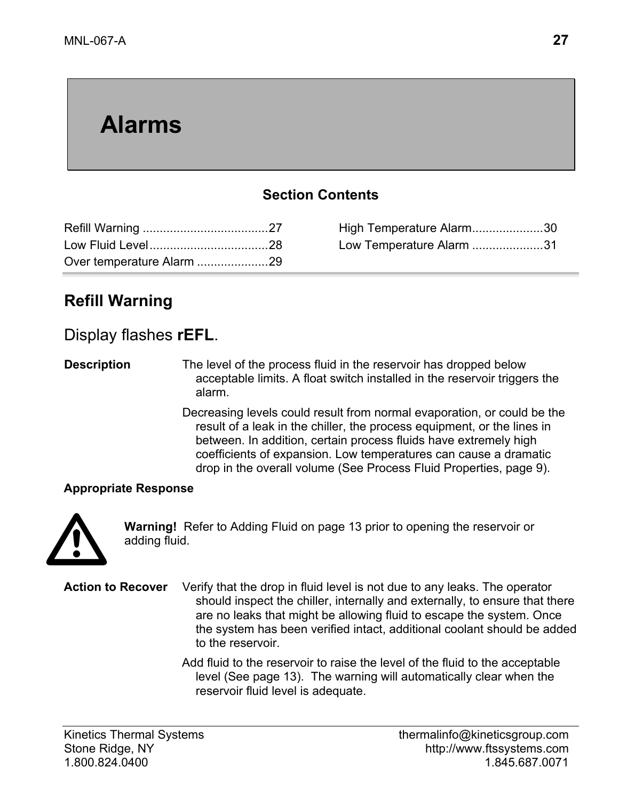# **Alarms**

### **Section Contents**

| Over temperature Alarm 29 |  |
|---------------------------|--|

High Temperature Alarm.....................30 Low Temperature Alarm .....................31

## **Refill Warning**

#### Display flashes **rEFL**.

**Description** The level of the process fluid in the reservoir has dropped below acceptable limits. A float switch installed in the reservoir triggers the alarm.

> Decreasing levels could result from normal evaporation, or could be the result of a leak in the chiller, the process equipment, or the lines in between. In addition, certain process fluids have extremely high coefficients of expansion. Low temperatures can cause a dramatic drop in the overall volume (See Process Fluid Properties, page 9).

#### **Appropriate Response**



**Warning!** Refer to Adding Fluid on page 13 prior to opening the reservoir or adding fluid.

**Action to Recover** Verify that the drop in fluid level is not due to any leaks. The operator should inspect the chiller, internally and externally, to ensure that there are no leaks that might be allowing fluid to escape the system. Once the system has been verified intact, additional coolant should be added to the reservoir.

> Add fluid to the reservoir to raise the level of the fluid to the acceptable level (See page 13). The warning will automatically clear when the reservoir fluid level is adequate.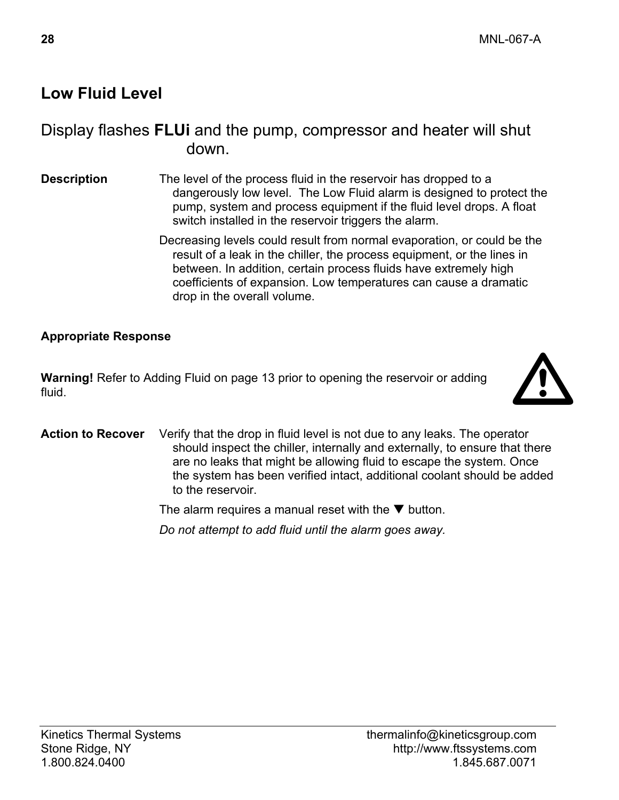## **Low Fluid Level**

### Display flashes **FLUi** and the pump, compressor and heater will shut down.

- **Description** The level of the process fluid in the reservoir has dropped to a dangerously low level. The Low Fluid alarm is designed to protect the pump, system and process equipment if the fluid level drops. A float switch installed in the reservoir triggers the alarm.
	- Decreasing levels could result from normal evaporation, or could be the result of a leak in the chiller, the process equipment, or the lines in between. In addition, certain process fluids have extremely high coefficients of expansion. Low temperatures can cause a dramatic drop in the overall volume.

#### **Appropriate Response**

**Warning!** Refer to Adding Fluid on page 13 prior to opening the reservoir or adding fluid.



**Action to Recover** Verify that the drop in fluid level is not due to any leaks. The operator should inspect the chiller, internally and externally, to ensure that there are no leaks that might be allowing fluid to escape the system. Once the system has been verified intact, additional coolant should be added to the reservoir.

The alarm requires a manual reset with the  $\nabla$  button.

 *Do not attempt to add fluid until the alarm goes away.*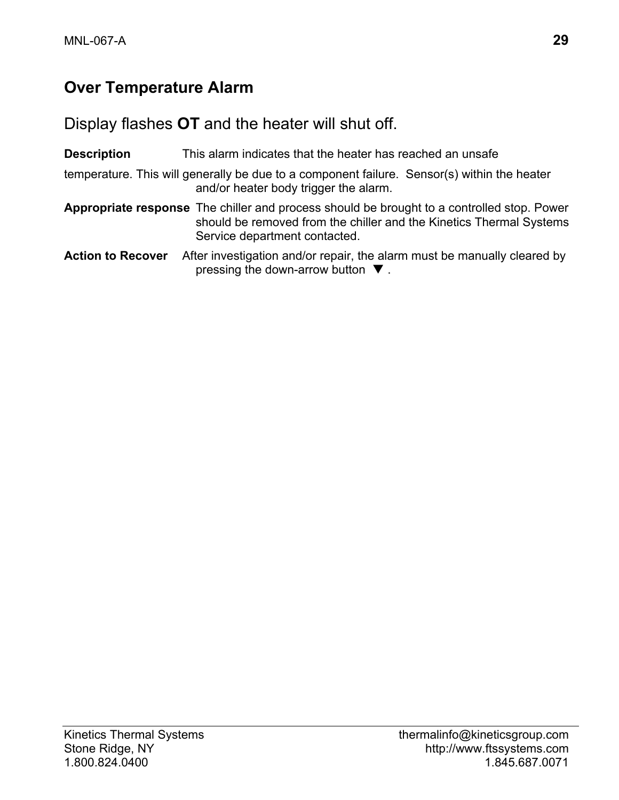# **Over Temperature Alarm**

Display flashes **OT** and the heater will shut off.

| <b>Description</b>       | This alarm indicates that the heater has reached an unsafe                                                                                                                                         |
|--------------------------|----------------------------------------------------------------------------------------------------------------------------------------------------------------------------------------------------|
|                          | temperature. This will generally be due to a component failure. Sensor(s) within the heater<br>and/or heater body trigger the alarm.                                                               |
|                          | Appropriate response The chiller and process should be brought to a controlled stop. Power<br>should be removed from the chiller and the Kinetics Thermal Systems<br>Service department contacted. |
| <b>Action to Recover</b> | After investigation and/or repair, the alarm must be manually cleared by<br>pressing the down-arrow button $\nabla$ .                                                                              |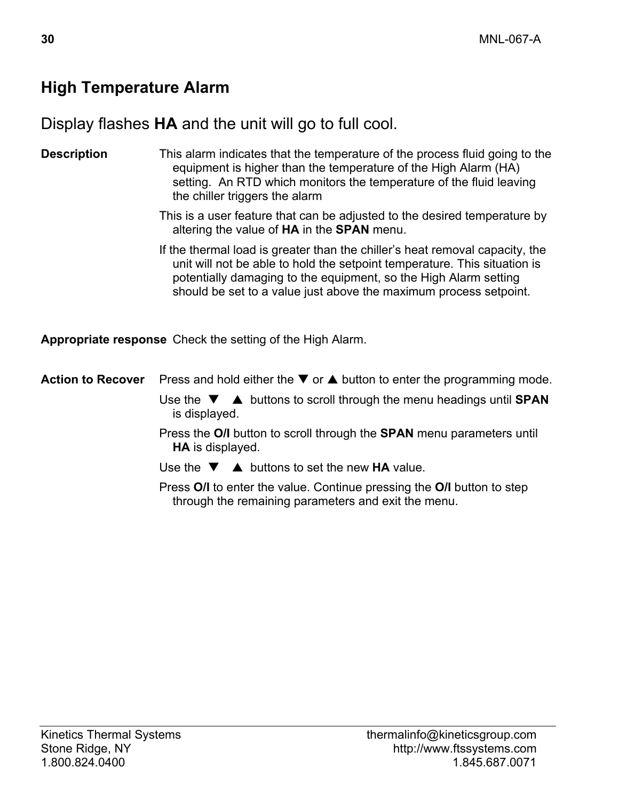## **High Temperature Alarm**

Display flashes **HA** and the unit will go to full cool.

**Description** This alarm indicates that the temperature of the process fluid going to the equipment is higher than the temperature of the High Alarm (HA) setting. An RTD which monitors the temperature of the fluid leaving the chiller triggers the alarm

> This is a user feature that can be adjusted to the desired temperature by altering the value of **HA** in the **SPAN** menu.

> If the thermal load is greater than the chiller's heat removal capacity, the unit will not be able to hold the setpoint temperature. This situation is potentially damaging to the equipment, so the High Alarm setting should be set to a value just above the maximum process setpoint.

**Appropriate response** Check the setting of the High Alarm.

- **Action to Recover** Press and hold either the ▼ or ▲ button to enter the programming mode.
	- Use the  $\blacktriangledown$   $\blacktriangle$  buttons to scroll through the menu headings until **SPAN** is displayed.

 Press the **O/I** button to scroll through the **SPAN** menu parameters until **HA** is displayed.

Use the  $\nabla$   $\triangle$  buttons to set the new **HA** value.

 Press **O/I** to enter the value. Continue pressing the **O/I** button to step through the remaining parameters and exit the menu.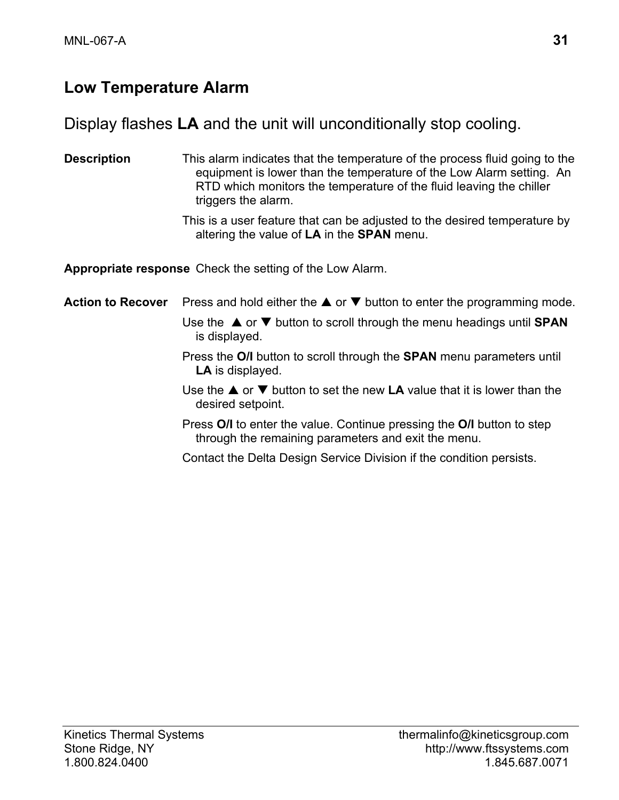## **Low Temperature Alarm**

### Display flashes **LA** and the unit will unconditionally stop cooling.

**Description** This alarm indicates that the temperature of the process fluid going to the equipment is lower than the temperature of the Low Alarm setting. An RTD which monitors the temperature of the fluid leaving the chiller triggers the alarm.

> This is a user feature that can be adjusted to the desired temperature by altering the value of **LA** in the **SPAN** menu.

**Appropriate response** Check the setting of the Low Alarm.

**Action to Recover** Press and hold either the **A** or ▼ button to enter the programming mode. Use the  $\triangle$  or  $\nabla$  button to scroll through the menu headings until **SPAN** is displayed.

- Press the **O/I** button to scroll through the **SPAN** menu parameters until **LA** is displayed.
- Use the  $\blacktriangle$  or  $\nabla$  button to set the new **LA** value that it is lower than the desired setpoint.
- Press **O/I** to enter the value. Continue pressing the **O/I** button to step through the remaining parameters and exit the menu.
- Contact the Delta Design Service Division if the condition persists.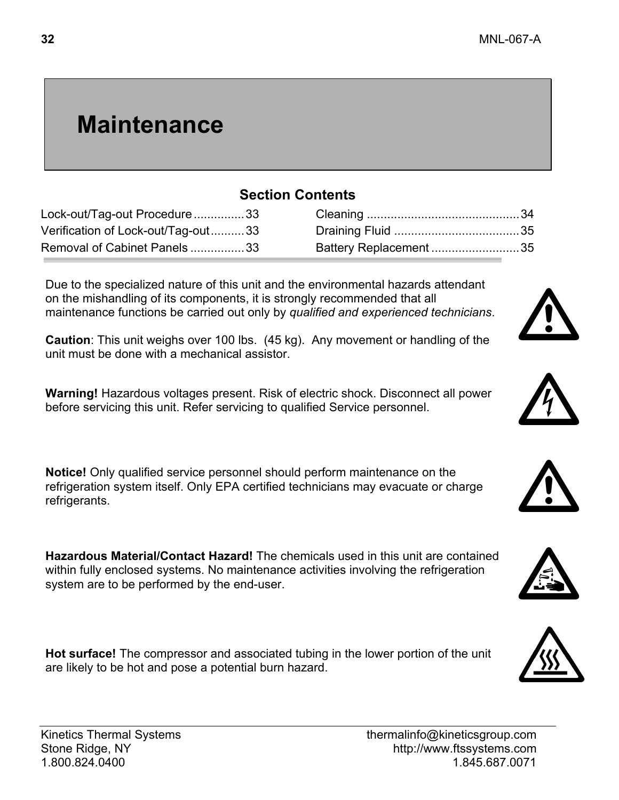Cleaning .............................................34 Draining Fluid .....................................35 Battery Replacement ..........................35

# **Maintenance**

### **Section Contents**

| Lock-out/Tag-out Procedure 33      |  |
|------------------------------------|--|
| Verification of Lock-out/Tag-out33 |  |
| Removal of Cabinet Panels33        |  |

Due to the specialized nature of this unit and the environmental hazards attendant on the mishandling of its components, it is strongly recommended that all maintenance functions be carried out only by *qualified and experienced technicians*.

**Caution**: This unit weighs over 100 lbs. (45 kg). Any movement or handling of the unit must be done with a mechanical assistor.

**Warning!** Hazardous voltages present. Risk of electric shock. Disconnect all power before servicing this unit. Refer servicing to qualified Service personnel.

**Notice!** Only qualified service personnel should perform maintenance on the refrigeration system itself. Only EPA certified technicians may evacuate or charge refrigerants.

**Hazardous Material/Contact Hazard!** The chemicals used in this unit are contained within fully enclosed systems. No maintenance activities involving the refrigeration system are to be performed by the end-user.

**Hot surface!** The compressor and associated tubing in the lower portion of the unit are likely to be hot and pose a potential burn hazard.







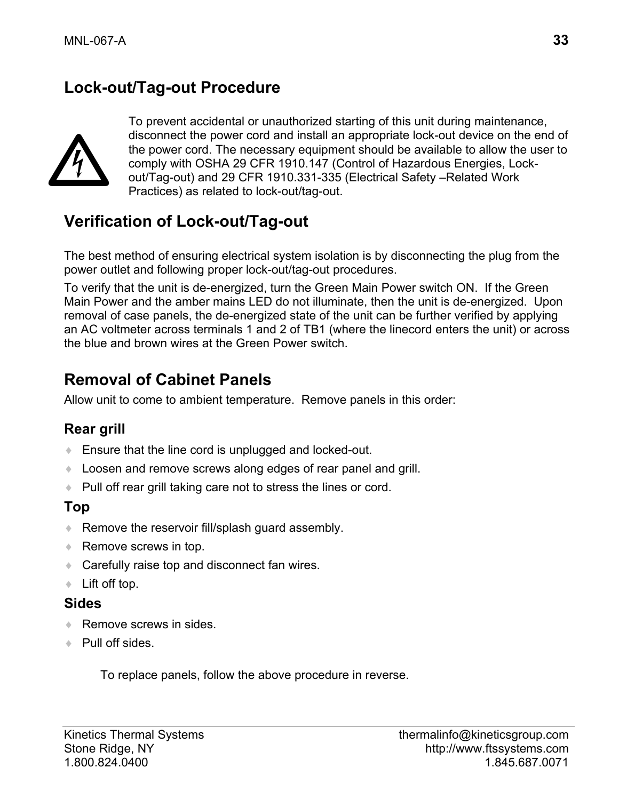## **Lock-out/Tag-out Procedure**



To prevent accidental or unauthorized starting of this unit during maintenance, disconnect the power cord and install an appropriate lock-out device on the end of the power cord. The necessary equipment should be available to allow the user to comply with OSHA 29 CFR 1910.147 (Control of Hazardous Energies, Lockout/Tag-out) and 29 CFR 1910.331-335 (Electrical Safety –Related Work Practices) as related to lock-out/tag-out.

### **Verification of Lock-out/Tag-out**

The best method of ensuring electrical system isolation is by disconnecting the plug from the power outlet and following proper lock-out/tag-out procedures.

To verify that the unit is de-energized, turn the Green Main Power switch ON. If the Green Main Power and the amber mains LED do not illuminate, then the unit is de-energized. Upon removal of case panels, the de-energized state of the unit can be further verified by applying an AC voltmeter across terminals 1 and 2 of TB1 (where the linecord enters the unit) or across the blue and brown wires at the Green Power switch.

## **Removal of Cabinet Panels**

Allow unit to come to ambient temperature. Remove panels in this order:

#### **Rear grill**

- ♦ Ensure that the line cord is unplugged and locked-out.
- ♦ Loosen and remove screws along edges of rear panel and grill.
- ♦ Pull off rear grill taking care not to stress the lines or cord.

#### **Top**

- ♦ Remove the reservoir fill/splash guard assembly.
- ◆ Remove screws in top.
- ◆ Carefully raise top and disconnect fan wires.
- ♦ Lift off top.

#### **Sides**

- ◆ Remove screws in sides
- ◆ Pull off sides.

To replace panels, follow the above procedure in reverse.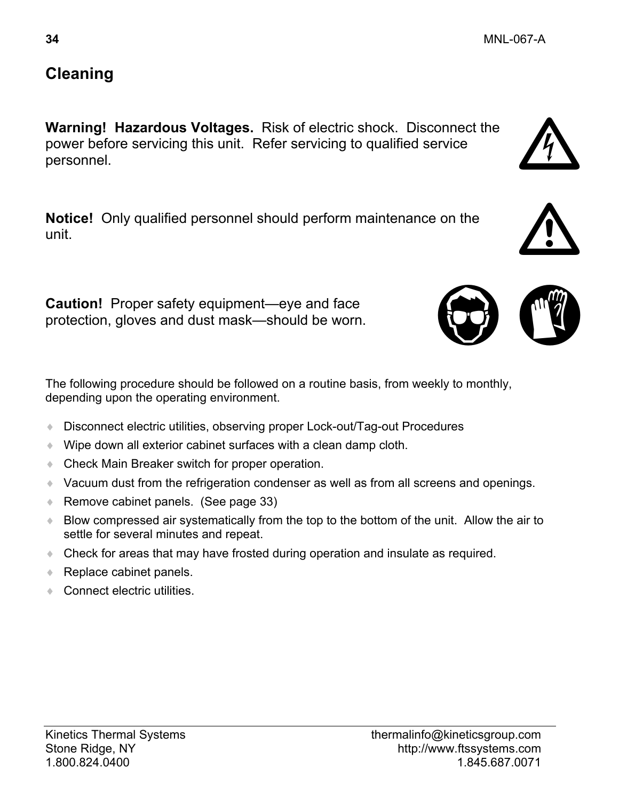### **Cleaning**

**Warning! Hazardous Voltages.** Risk of electric shock. Disconnect the power before servicing this unit. Refer servicing to qualified service personnel.

**Notice!** Only qualified personnel should perform maintenance on the unit.

**Caution!** Proper safety equipment—eye and face protection, gloves and dust mask—should be worn.

The following procedure should be followed on a routine basis, from weekly to monthly, depending upon the operating environment.

- ♦ Disconnect electric utilities, observing proper Lock-out/Tag-out Procedures
- ♦ Wipe down all exterior cabinet surfaces with a clean damp cloth.
- ♦ Check Main Breaker switch for proper operation.
- ♦ Vacuum dust from the refrigeration condenser as well as from all screens and openings.
- ♦ Remove cabinet panels. (See page 33)
- ♦ Blow compressed air systematically from the top to the bottom of the unit. Allow the air to settle for several minutes and repeat.
- ♦ Check for areas that may have frosted during operation and insulate as required.
- ◆ Replace cabinet panels.
- ◆ Connect electric utilities





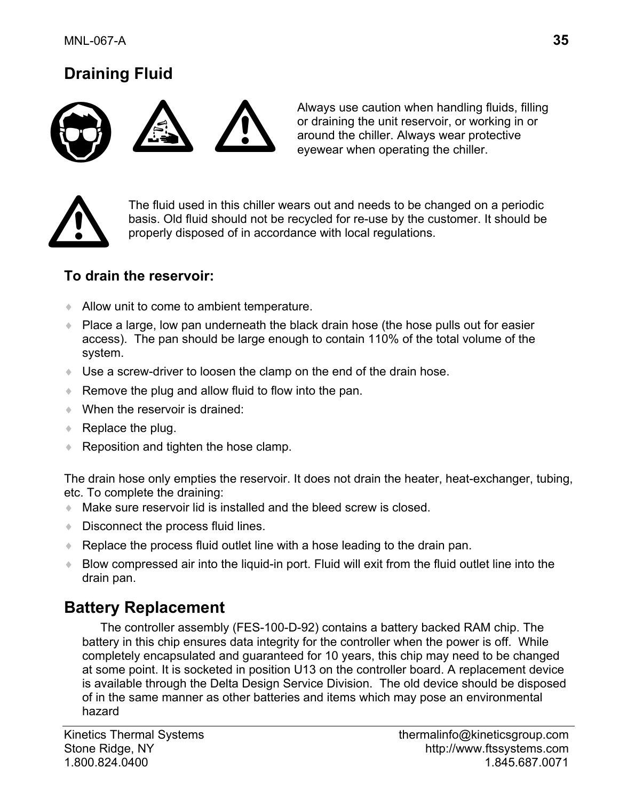## **Draining Fluid**



Always use caution when handling fluids, filling or draining the unit reservoir, or working in or around the chiller. Always wear protective eyewear when operating the chiller.



The fluid used in this chiller wears out and needs to be changed on a periodic basis. Old fluid should not be recycled for re-use by the customer. It should be properly disposed of in accordance with local regulations.

#### **To drain the reservoir:**

- ♦ Allow unit to come to ambient temperature.
- ♦ Place a large, low pan underneath the black drain hose (the hose pulls out for easier access). The pan should be large enough to contain 110% of the total volume of the system.
- ♦ Use a screw-driver to loosen the clamp on the end of the drain hose.
- ♦ Remove the plug and allow fluid to flow into the pan.
- $\bullet$  When the reservoir is drained:
- $\triangle$  Replace the plug.
- ♦ Reposition and tighten the hose clamp.

The drain hose only empties the reservoir. It does not drain the heater, heat-exchanger, tubing, etc. To complete the draining:

- ♦ Make sure reservoir lid is installed and the bleed screw is closed.
- Disconnect the process fluid lines.
- ♦ Replace the process fluid outlet line with a hose leading to the drain pan.
- ♦ Blow compressed air into the liquid-in port. Fluid will exit from the fluid outlet line into the drain pan.

### **Battery Replacement**

The controller assembly (FES-100-D-92) contains a battery backed RAM chip. The battery in this chip ensures data integrity for the controller when the power is off. While completely encapsulated and guaranteed for 10 years, this chip may need to be changed at some point. It is socketed in position U13 on the controller board. A replacement device is available through the Delta Design Service Division. The old device should be disposed of in the same manner as other batteries and items which may pose an environmental hazard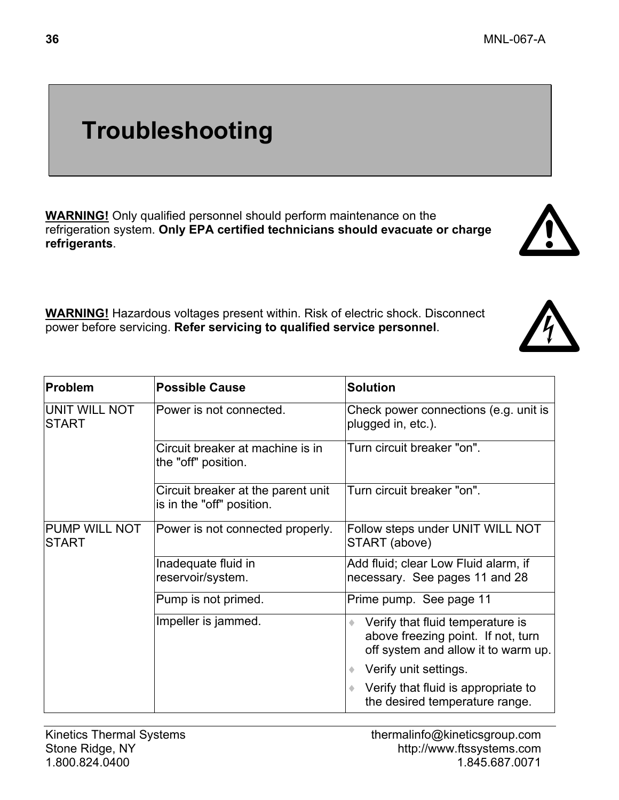# **Troubleshooting**

**WARNING!** Only qualified personnel should perform maintenance on the refrigeration system. **Only EPA certified technicians should evacuate or charge refrigerants**.

**WARNING!** Hazardous voltages present within. Risk of electric shock. Disconnect power before servicing. **Refer servicing to qualified service personnel**.

| Problem                        | <b>Possible Cause</b>                                           | <b>Solution</b>                                                                                               |
|--------------------------------|-----------------------------------------------------------------|---------------------------------------------------------------------------------------------------------------|
| UNIT WILL NOT<br><b>ISTART</b> | Power is not connected.                                         | Check power connections (e.g. unit is<br>plugged in, etc.).                                                   |
|                                | Circuit breaker at machine is in<br>the "off" position.         | Turn circuit breaker "on".                                                                                    |
|                                | Circuit breaker at the parent unit<br>is in the "off" position. | Turn circuit breaker "on".                                                                                    |
| PUMP WILL NOT<br><b>START</b>  | Power is not connected properly.                                | Follow steps under UNIT WILL NOT<br>START (above)                                                             |
|                                | Inadequate fluid in<br>reservoir/system.                        | Add fluid; clear Low Fluid alarm, if<br>necessary. See pages 11 and 28                                        |
|                                | Pump is not primed.                                             | Prime pump. See page 11                                                                                       |
|                                | Impeller is jammed.                                             | Verify that fluid temperature is<br>above freezing point. If not, turn<br>off system and allow it to warm up. |
|                                |                                                                 | Verify unit settings.                                                                                         |
|                                |                                                                 | Verify that fluid is appropriate to<br>the desired temperature range.                                         |

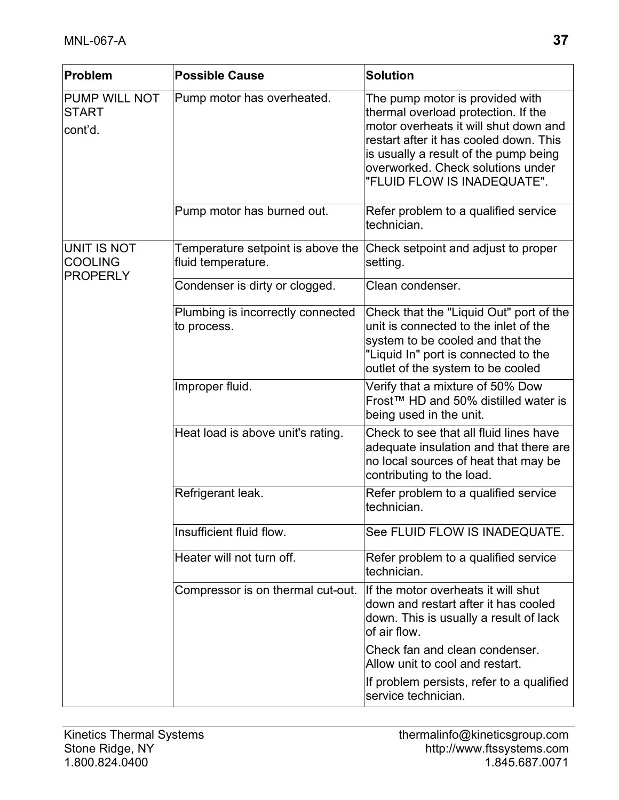| Problem                                          | <b>Possible Cause</b>                                   | <b>Solution</b>                                                                                                                                                                                                                                                        |
|--------------------------------------------------|---------------------------------------------------------|------------------------------------------------------------------------------------------------------------------------------------------------------------------------------------------------------------------------------------------------------------------------|
| PUMP WILL NOT<br><b>START</b><br>cont'd.         | Pump motor has overheated.                              | The pump motor is provided with<br>thermal overload protection. If the<br>motor overheats it will shut down and<br>restart after it has cooled down. This<br>is usually a result of the pump being<br>overworked. Check solutions under<br>"FLUID FLOW IS INADEQUATE". |
|                                                  | Pump motor has burned out.                              | Refer problem to a qualified service<br>technician.                                                                                                                                                                                                                    |
| UNIT IS NOT<br><b>COOLING</b><br><b>PROPERLY</b> | Temperature setpoint is above the<br>fluid temperature. | Check setpoint and adjust to proper<br>setting.                                                                                                                                                                                                                        |
|                                                  | Condenser is dirty or clogged.                          | Clean condenser.                                                                                                                                                                                                                                                       |
|                                                  | Plumbing is incorrectly connected<br>to process.        | Check that the "Liquid Out" port of the<br>unit is connected to the inlet of the<br>system to be cooled and that the<br>"Liquid In" port is connected to the<br>outlet of the system to be cooled                                                                      |
|                                                  | Improper fluid.                                         | Verify that a mixture of 50% Dow<br>Frost™ HD and 50% distilled water is<br>being used in the unit.                                                                                                                                                                    |
|                                                  | Heat load is above unit's rating.                       | Check to see that all fluid lines have<br>adequate insulation and that there are<br>no local sources of heat that may be<br>contributing to the load.                                                                                                                  |
|                                                  | Refrigerant leak.                                       | Refer problem to a qualified service<br>technician.                                                                                                                                                                                                                    |
|                                                  | Insufficient fluid flow.                                | See FLUID FLOW IS INADEQUATE.                                                                                                                                                                                                                                          |
|                                                  | Heater will not turn off.                               | Refer problem to a qualified service<br>technician.                                                                                                                                                                                                                    |
|                                                  | Compressor is on thermal cut-out.                       | If the motor overheats it will shut<br>down and restart after it has cooled<br>down. This is usually a result of lack<br>of air flow.                                                                                                                                  |
|                                                  |                                                         | Check fan and clean condenser.<br>Allow unit to cool and restart.                                                                                                                                                                                                      |
|                                                  |                                                         | If problem persists, refer to a qualified<br>service technician.                                                                                                                                                                                                       |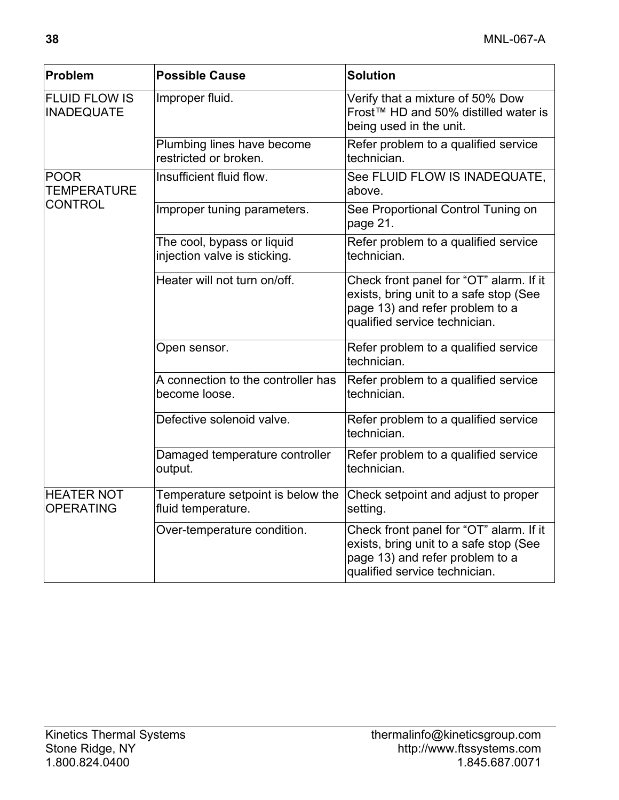| Problem                                   | <b>Possible Cause</b>                                      | <b>Solution</b>                                                                                                                                       |
|-------------------------------------------|------------------------------------------------------------|-------------------------------------------------------------------------------------------------------------------------------------------------------|
| <b>FLUID FLOW IS</b><br><b>INADEQUATE</b> | Improper fluid.                                            | Verify that a mixture of 50% Dow<br>Frost™ HD and 50% distilled water is<br>being used in the unit.                                                   |
|                                           | Plumbing lines have become<br>restricted or broken.        | Refer problem to a qualified service<br>technician.                                                                                                   |
| <b>POOR</b><br>TEMPERATURE                | Insufficient fluid flow.                                   | See FLUID FLOW IS INADEQUATE,<br>above.                                                                                                               |
| <b>CONTROL</b>                            | Improper tuning parameters.                                | See Proportional Control Tuning on<br>page 21.                                                                                                        |
|                                           | The cool, bypass or liquid<br>injection valve is sticking. | Refer problem to a qualified service<br>technician.                                                                                                   |
|                                           | Heater will not turn on/off.                               | Check front panel for "OT" alarm. If it<br>exists, bring unit to a safe stop (See<br>page 13) and refer problem to a<br>qualified service technician. |
|                                           | Open sensor.                                               | Refer problem to a qualified service<br>technician.                                                                                                   |
|                                           | A connection to the controller has<br>become loose.        | Refer problem to a qualified service<br>technician.                                                                                                   |
|                                           | Defective solenoid valve.                                  | Refer problem to a qualified service<br>technician.                                                                                                   |
|                                           | Damaged temperature controller<br>output.                  | Refer problem to a qualified service<br>technician.                                                                                                   |
| <b>HEATER NOT</b><br><b>OPERATING</b>     | Temperature setpoint is below the<br>fluid temperature.    | Check setpoint and adjust to proper<br>setting.                                                                                                       |
|                                           | Over-temperature condition.                                | Check front panel for "OT" alarm. If it<br>exists, bring unit to a safe stop (See<br>page 13) and refer problem to a<br>qualified service technician. |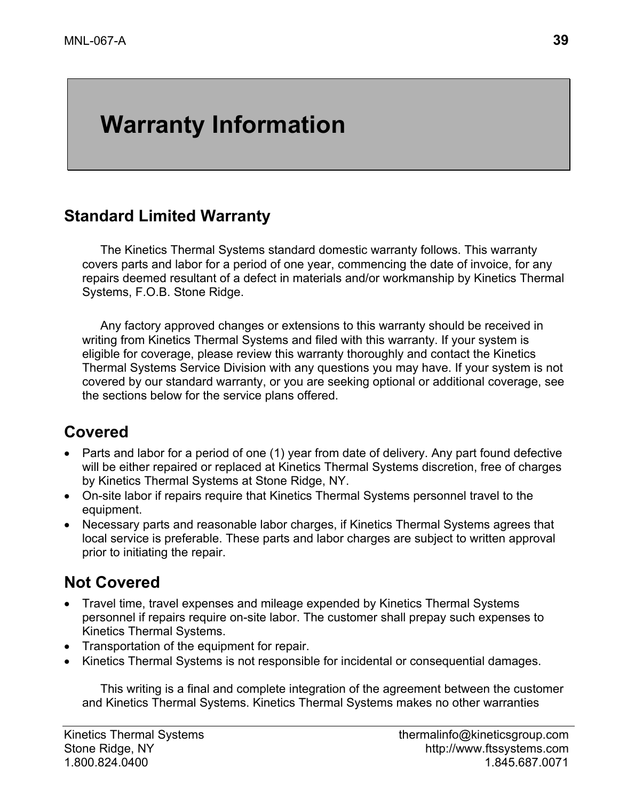# **Warranty Information**

### **Standard Limited Warranty**

The Kinetics Thermal Systems standard domestic warranty follows. This warranty covers parts and labor for a period of one year, commencing the date of invoice, for any repairs deemed resultant of a defect in materials and/or workmanship by Kinetics Thermal Systems, F.O.B. Stone Ridge.

Any factory approved changes or extensions to this warranty should be received in writing from Kinetics Thermal Systems and filed with this warranty. If your system is eligible for coverage, please review this warranty thoroughly and contact the Kinetics Thermal Systems Service Division with any questions you may have. If your system is not covered by our standard warranty, or you are seeking optional or additional coverage, see the sections below for the service plans offered.

## **Covered**

- Parts and labor for a period of one (1) year from date of delivery. Any part found defective will be either repaired or replaced at Kinetics Thermal Systems discretion, free of charges by Kinetics Thermal Systems at Stone Ridge, NY.
- On-site labor if repairs require that Kinetics Thermal Systems personnel travel to the equipment.
- Necessary parts and reasonable labor charges, if Kinetics Thermal Systems agrees that local service is preferable. These parts and labor charges are subject to written approval prior to initiating the repair.

## **Not Covered**

- Travel time, travel expenses and mileage expended by Kinetics Thermal Systems personnel if repairs require on-site labor. The customer shall prepay such expenses to Kinetics Thermal Systems.
- Transportation of the equipment for repair.
- Kinetics Thermal Systems is not responsible for incidental or consequential damages.

This writing is a final and complete integration of the agreement between the customer and Kinetics Thermal Systems. Kinetics Thermal Systems makes no other warranties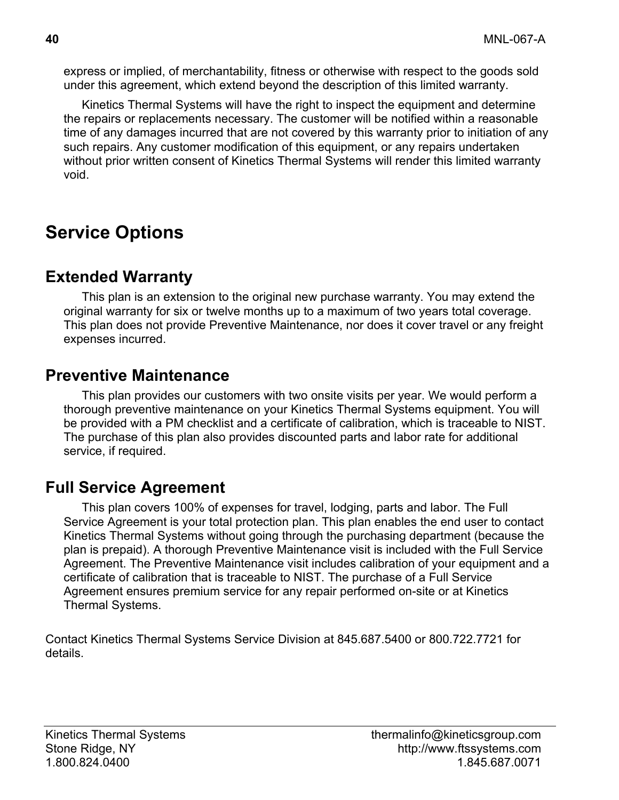express or implied, of merchantability, fitness or otherwise with respect to the goods sold under this agreement, which extend beyond the description of this limited warranty.

Kinetics Thermal Systems will have the right to inspect the equipment and determine the repairs or replacements necessary. The customer will be notified within a reasonable time of any damages incurred that are not covered by this warranty prior to initiation of any such repairs. Any customer modification of this equipment, or any repairs undertaken without prior written consent of Kinetics Thermal Systems will render this limited warranty void.

# **Service Options**

### **Extended Warranty**

This plan is an extension to the original new purchase warranty. You may extend the original warranty for six or twelve months up to a maximum of two years total coverage. This plan does not provide Preventive Maintenance, nor does it cover travel or any freight expenses incurred.

### **Preventive Maintenance**

This plan provides our customers with two onsite visits per year. We would perform a thorough preventive maintenance on your Kinetics Thermal Systems equipment. You will be provided with a PM checklist and a certificate of calibration, which is traceable to NIST. The purchase of this plan also provides discounted parts and labor rate for additional service, if required.

## **Full Service Agreement**

This plan covers 100% of expenses for travel, lodging, parts and labor. The Full Service Agreement is your total protection plan. This plan enables the end user to contact Kinetics Thermal Systems without going through the purchasing department (because the plan is prepaid). A thorough Preventive Maintenance visit is included with the Full Service Agreement. The Preventive Maintenance visit includes calibration of your equipment and a certificate of calibration that is traceable to NIST. The purchase of a Full Service Agreement ensures premium service for any repair performed on-site or at Kinetics Thermal Systems.

Contact Kinetics Thermal Systems Service Division at 845.687.5400 or 800.722.7721 for details.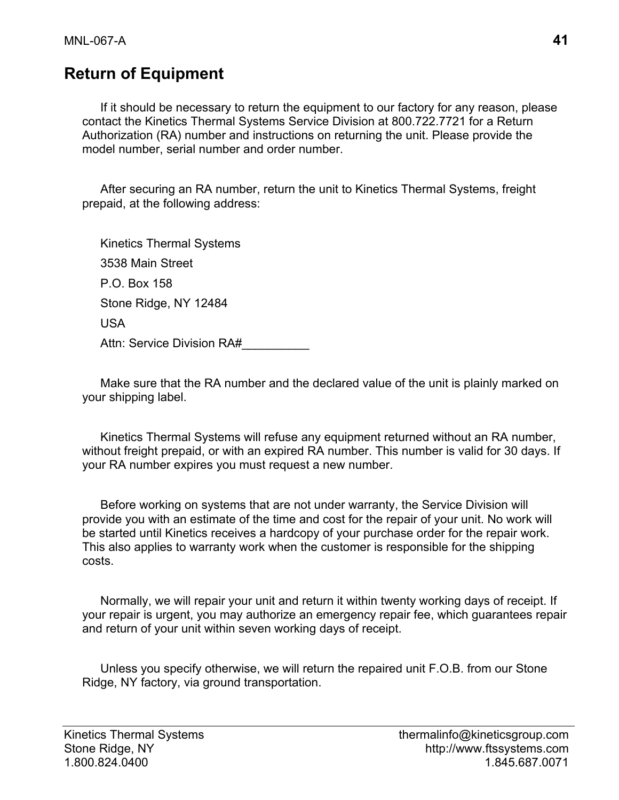## **Return of Equipment**

If it should be necessary to return the equipment to our factory for any reason, please contact the Kinetics Thermal Systems Service Division at 800.722.7721 for a Return Authorization (RA) number and instructions on returning the unit. Please provide the model number, serial number and order number.

After securing an RA number, return the unit to Kinetics Thermal Systems, freight prepaid, at the following address:

Kinetics Thermal Systems 3538 Main Street P.O. Box 158 Stone Ridge, NY 12484 USA Attn: Service Division RA#

Make sure that the RA number and the declared value of the unit is plainly marked on your shipping label.

Kinetics Thermal Systems will refuse any equipment returned without an RA number, without freight prepaid, or with an expired RA number. This number is valid for 30 days. If your RA number expires you must request a new number.

Before working on systems that are not under warranty, the Service Division will provide you with an estimate of the time and cost for the repair of your unit. No work will be started until Kinetics receives a hardcopy of your purchase order for the repair work. This also applies to warranty work when the customer is responsible for the shipping costs.

Normally, we will repair your unit and return it within twenty working days of receipt. If your repair is urgent, you may authorize an emergency repair fee, which guarantees repair and return of your unit within seven working days of receipt.

Unless you specify otherwise, we will return the repaired unit F.O.B. from our Stone Ridge, NY factory, via ground transportation.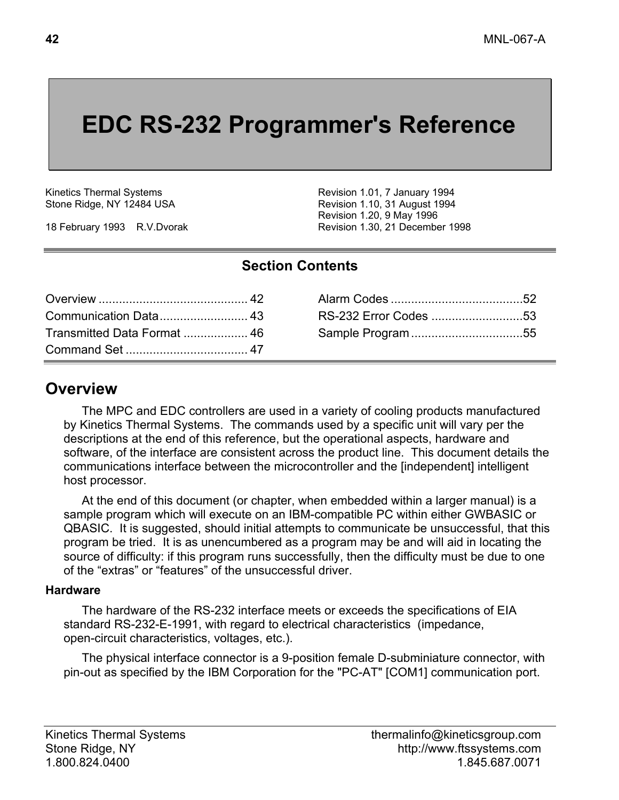# **EDC RS-232 Programmer's Reference**

Kinetics Thermal Systems Stone Ridge, NY 12484 USA

18 February 1993 R.V.Dvorak

Revision 1.01, 7 January 1994 Revision 1.10, 31 August 1994 Revision 1.20, 9 May 1996 Revision 1.30, 21 December 1998

#### **Section Contents**

|                             | RS-232 Error Codes 53 |  |
|-----------------------------|-----------------------|--|
| Transmitted Data Format  46 |                       |  |
|                             |                       |  |

## **Overview**

The MPC and EDC controllers are used in a variety of cooling products manufactured by Kinetics Thermal Systems. The commands used by a specific unit will vary per the descriptions at the end of this reference, but the operational aspects, hardware and software, of the interface are consistent across the product line. This document details the communications interface between the microcontroller and the [independent] intelligent host processor.

At the end of this document (or chapter, when embedded within a larger manual) is a sample program which will execute on an IBM-compatible PC within either GWBASIC or QBASIC. It is suggested, should initial attempts to communicate be unsuccessful, that this program be tried. It is as unencumbered as a program may be and will aid in locating the source of difficulty: if this program runs successfully, then the difficulty must be due to one of the "extras" or "features" of the unsuccessful driver.

#### **Hardware**

The hardware of the RS-232 interface meets or exceeds the specifications of EIA standard RS-232-E-1991, with regard to electrical characteristics (impedance, open-circuit characteristics, voltages, etc.).

The physical interface connector is a 9-position female D-subminiature connector, with pin-out as specified by the IBM Corporation for the "PC-AT" [COM1] communication port.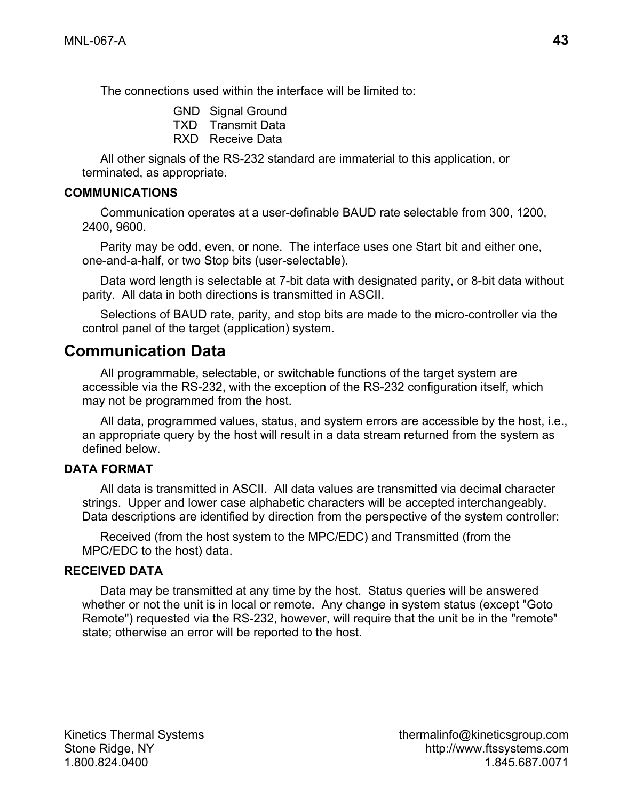The connections used within the interface will be limited to:

- GND Signal Ground
- TXD Transmit Data
- RXD Receive Data

All other signals of the RS-232 standard are immaterial to this application, or terminated, as appropriate.

#### **COMMUNICATIONS**

Communication operates at a user-definable BAUD rate selectable from 300, 1200, 2400, 9600.

Parity may be odd, even, or none. The interface uses one Start bit and either one, one-and-a-half, or two Stop bits (user-selectable).

Data word length is selectable at 7-bit data with designated parity, or 8-bit data without parity. All data in both directions is transmitted in ASCII.

Selections of BAUD rate, parity, and stop bits are made to the micro-controller via the control panel of the target (application) system.

## **Communication Data**

All programmable, selectable, or switchable functions of the target system are accessible via the RS-232, with the exception of the RS-232 configuration itself, which may not be programmed from the host.

All data, programmed values, status, and system errors are accessible by the host, i.e., an appropriate query by the host will result in a data stream returned from the system as defined below.

#### **DATA FORMAT**

All data is transmitted in ASCII. All data values are transmitted via decimal character strings. Upper and lower case alphabetic characters will be accepted interchangeably. Data descriptions are identified by direction from the perspective of the system controller:

Received (from the host system to the MPC/EDC) and Transmitted (from the MPC/EDC to the host) data.

#### **RECEIVED DATA**

Data may be transmitted at any time by the host. Status queries will be answered whether or not the unit is in local or remote. Any change in system status (except "Goto Remote") requested via the RS-232, however, will require that the unit be in the "remote" state; otherwise an error will be reported to the host.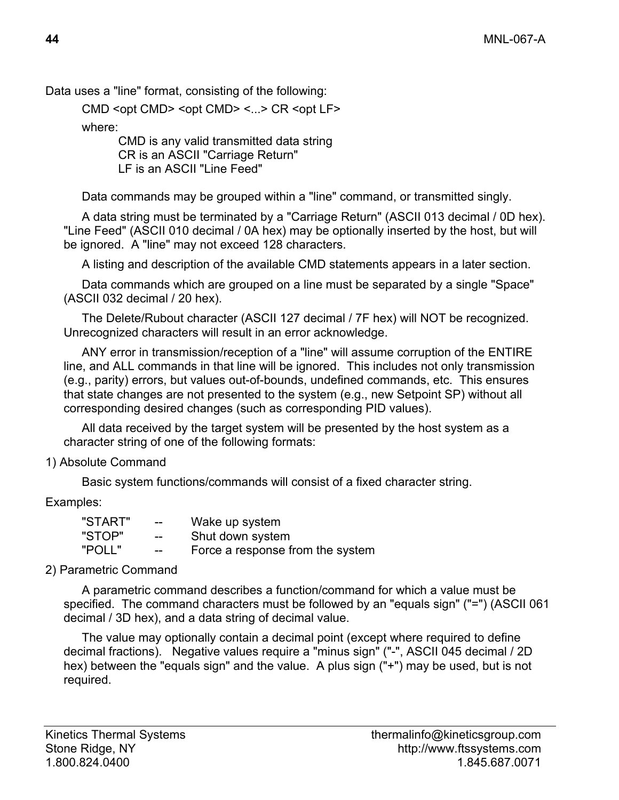Data uses a "line" format, consisting of the following:

CMD <opt CMD> <opt CMD> <...> CR <opt LF>

where:

 CMD is any valid transmitted data string CR is an ASCII "Carriage Return" LF is an ASCII "Line Feed"

Data commands may be grouped within a "line" command, or transmitted singly.

A data string must be terminated by a "Carriage Return" (ASCII 013 decimal / 0D hex). "Line Feed" (ASCII 010 decimal / 0A hex) may be optionally inserted by the host, but will be ignored. A "line" may not exceed 128 characters.

A listing and description of the available CMD statements appears in a later section.

Data commands which are grouped on a line must be separated by a single "Space" (ASCII 032 decimal / 20 hex).

The Delete/Rubout character (ASCII 127 decimal / 7F hex) will NOT be recognized. Unrecognized characters will result in an error acknowledge.

ANY error in transmission/reception of a "line" will assume corruption of the ENTIRE line, and ALL commands in that line will be ignored. This includes not only transmission (e.g., parity) errors, but values out-of-bounds, undefined commands, etc. This ensures that state changes are not presented to the system (e.g., new Setpoint SP) without all corresponding desired changes (such as corresponding PID values).

All data received by the target system will be presented by the host system as a character string of one of the following formats:

1) Absolute Command

Basic system functions/commands will consist of a fixed character string.

Examples:

| "START" | $- -$ | Wake up system                   |
|---------|-------|----------------------------------|
| "STOP"  | $- -$ | Shut down system                 |
| "POLL"  | $- -$ | Force a response from the system |

#### 2) Parametric Command

A parametric command describes a function/command for which a value must be specified. The command characters must be followed by an "equals sign" ("=") (ASCII 061 decimal / 3D hex), and a data string of decimal value.

The value may optionally contain a decimal point (except where required to define decimal fractions). Negative values require a "minus sign" ("-", ASCII 045 decimal / 2D hex) between the "equals sign" and the value. A plus sign ("+") may be used, but is not required.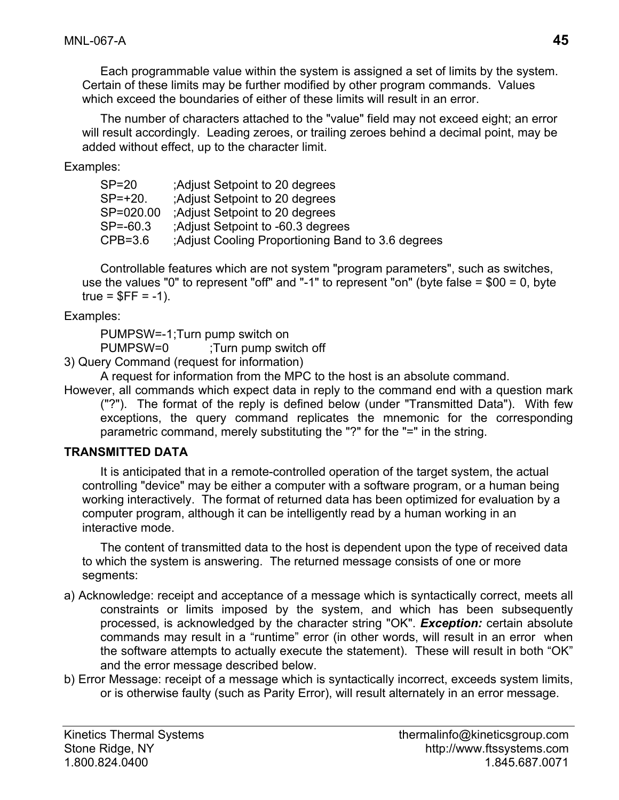Each programmable value within the system is assigned a set of limits by the system. Certain of these limits may be further modified by other program commands. Values which exceed the boundaries of either of these limits will result in an error.

The number of characters attached to the "value" field may not exceed eight; an error will result accordingly. Leading zeroes, or trailing zeroes behind a decimal point, may be added without effect, up to the character limit.

Examples:

| $SP = 20$    | Adjust Setpoint to 20 degrees                    |
|--------------|--------------------------------------------------|
| $SP = +20.$  | Adjust Setpoint to 20 degrees                    |
| SP=020.00    | Adjust Setpoint to 20 degrees                    |
| $SP = -60.3$ | Adjust Setpoint to -60.3 degrees                 |
| $CPB=3.6$    | Adjust Cooling Proportioning Band to 3.6 degrees |

Controllable features which are not system "program parameters", such as switches, use the values "0" to represent "off" and "-1" to represent "on" (byte false = \$00 = 0, byte true =  $SFF = -1$ ).

Examples:

PUMPSW=-1 ;Turn pump switch on

PUMPSW=0 ;Turn pump switch off

3) Query Command (request for information)

A request for information from the MPC to the host is an absolute command.

However, all commands which expect data in reply to the command end with a question mark ("?"). The format of the reply is defined below (under "Transmitted Data"). With few exceptions, the query command replicates the mnemonic for the corresponding parametric command, merely substituting the "?" for the "=" in the string.

#### **TRANSMITTED DATA**

It is anticipated that in a remote-controlled operation of the target system, the actual controlling "device" may be either a computer with a software program, or a human being working interactively. The format of returned data has been optimized for evaluation by a computer program, although it can be intelligently read by a human working in an interactive mode.

The content of transmitted data to the host is dependent upon the type of received data to which the system is answering. The returned message consists of one or more segments:

- a) Acknowledge: receipt and acceptance of a message which is syntactically correct, meets all constraints or limits imposed by the system, and which has been subsequently processed, is acknowledged by the character string "OK". *Exception:* certain absolute commands may result in a "runtime" error (in other words, will result in an error when the software attempts to actually execute the statement). These will result in both "OK" and the error message described below.
- b) Error Message: receipt of a message which is syntactically incorrect, exceeds system limits, or is otherwise faulty (such as Parity Error), will result alternately in an error message.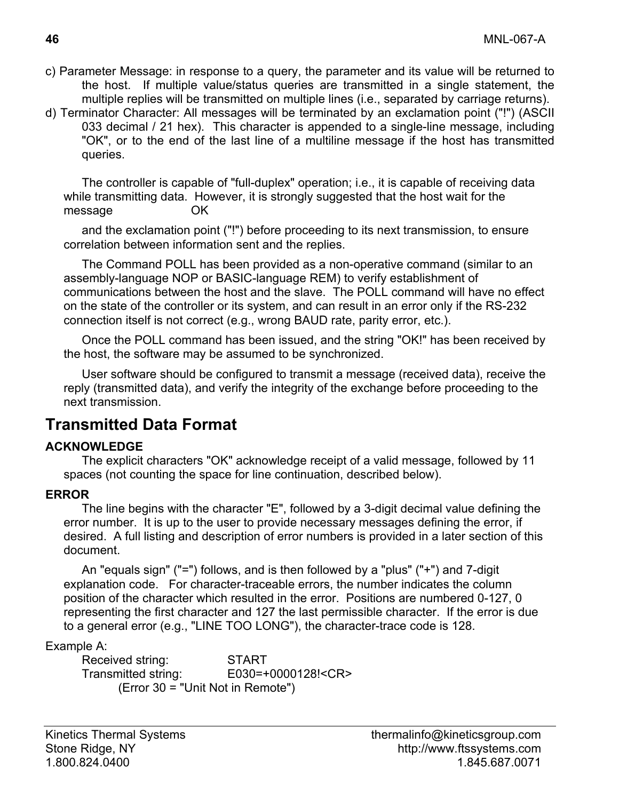- c) Parameter Message: in response to a query, the parameter and its value will be returned to the host. If multiple value/status queries are transmitted in a single statement, the multiple replies will be transmitted on multiple lines (i.e., separated by carriage returns).
- d) Terminator Character: All messages will be terminated by an exclamation point ("!") (ASCII 033 decimal / 21 hex). This character is appended to a single-line message, including "OK", or to the end of the last line of a multiline message if the host has transmitted queries.

The controller is capable of "full-duplex" operation; i.e., it is capable of receiving data while transmitting data. However, it is strongly suggested that the host wait for the message OK

and the exclamation point ("!") before proceeding to its next transmission, to ensure correlation between information sent and the replies.

The Command POLL has been provided as a non-operative command (similar to an assembly-language NOP or BASIC-language REM) to verify establishment of communications between the host and the slave. The POLL command will have no effect on the state of the controller or its system, and can result in an error only if the RS-232 connection itself is not correct (e.g., wrong BAUD rate, parity error, etc.).

Once the POLL command has been issued, and the string "OK!" has been received by the host, the software may be assumed to be synchronized.

User software should be configured to transmit a message (received data), receive the reply (transmitted data), and verify the integrity of the exchange before proceeding to the next transmission.

### **Transmitted Data Format**

#### **ACKNOWLEDGE**

The explicit characters "OK" acknowledge receipt of a valid message, followed by 11 spaces (not counting the space for line continuation, described below).

#### **ERROR**

The line begins with the character "E", followed by a 3-digit decimal value defining the error number. It is up to the user to provide necessary messages defining the error, if desired. A full listing and description of error numbers is provided in a later section of this document.

An "equals sign" ("=") follows, and is then followed by a "plus" ("+") and 7-digit explanation code. For character-traceable errors, the number indicates the column position of the character which resulted in the error. Positions are numbered 0-127, 0 representing the first character and 127 the last permissible character. If the error is due to a general error (e.g., "LINE TOO LONG"), the character-trace code is 128.

#### Example A:

 Received string: START Transmitted string: E030=+0000128!<CR> (Error 30 = "Unit Not in Remote")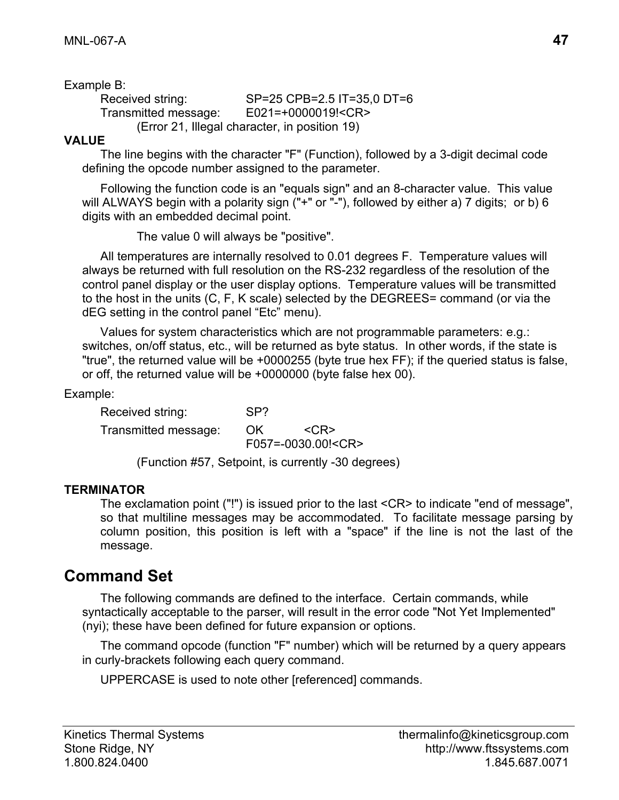Example B:

 Received string: SP=25 CPB=2.5 IT=35,0 DT=6 Transmitted message: E021=+0000019!<CR> (Error 21, Illegal character, in position 19)

#### **VALUE**

The line begins with the character "F" (Function), followed by a 3-digit decimal code defining the opcode number assigned to the parameter.

Following the function code is an "equals sign" and an 8-character value. This value will ALWAYS begin with a polarity sign ("+" or "-"), followed by either a) 7 digits; or b) 6 digits with an embedded decimal point.

The value 0 will always be "positive".

All temperatures are internally resolved to 0.01 degrees F. Temperature values will always be returned with full resolution on the RS-232 regardless of the resolution of the control panel display or the user display options. Temperature values will be transmitted to the host in the units (C, F, K scale) selected by the DEGREES= command (or via the dEG setting in the control panel "Etc" menu).

Values for system characteristics which are not programmable parameters: e.g.: switches, on/off status, etc., will be returned as byte status. In other words, if the state is "true", the returned value will be +0000255 (byte true hex FF); if the queried status is false, or off, the returned value will be +0000000 (byte false hex 00).

Example:

Received string: SP? Transmitted message: OK <CR> F057=-0030.00!<CR> (Function #57, Setpoint, is currently -30 degrees)

#### **TERMINATOR**

 The exclamation point ("!") is issued prior to the last <CR> to indicate "end of message", so that multiline messages may be accommodated. To facilitate message parsing by column position, this position is left with a "space" if the line is not the last of the message.

## **Command Set**

The following commands are defined to the interface. Certain commands, while syntactically acceptable to the parser, will result in the error code "Not Yet Implemented" (nyi); these have been defined for future expansion or options.

The command opcode (function "F" number) which will be returned by a query appears in curly-brackets following each query command.

UPPERCASE is used to note other [referenced] commands.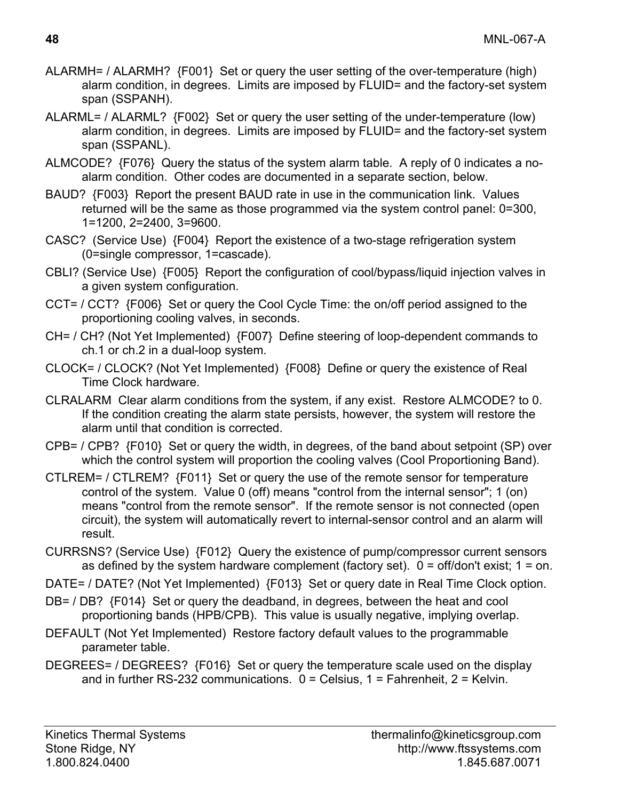- ALARMH= / ALARMH? {F001} Set or query the user setting of the over-temperature (high) alarm condition, in degrees. Limits are imposed by FLUID= and the factory-set system span (SSPANH).
- ALARML= / ALARML? {F002} Set or query the user setting of the under-temperature (low) alarm condition, in degrees. Limits are imposed by FLUID= and the factory-set system span (SSPANL).
- ALMCODE? {F076} Query the status of the system alarm table. A reply of 0 indicates a noalarm condition. Other codes are documented in a separate section, below.
- BAUD? {F003} Report the present BAUD rate in use in the communication link. Values returned will be the same as those programmed via the system control panel: 0=300, 1=1200, 2=2400, 3=9600.
- CASC? (Service Use) {F004} Report the existence of a two-stage refrigeration system (0=single compressor, 1=cascade).
- CBLI? (Service Use) {F005} Report the configuration of cool/bypass/liquid injection valves in a given system configuration.
- CCT= / CCT? {F006} Set or query the Cool Cycle Time: the on/off period assigned to the proportioning cooling valves, in seconds.
- CH= / CH? (Not Yet Implemented) {F007} Define steering of loop-dependent commands to ch.1 or ch.2 in a dual-loop system.
- CLOCK= / CLOCK? (Not Yet Implemented) {F008} Define or query the existence of Real Time Clock hardware.
- CLRALARM Clear alarm conditions from the system, if any exist. Restore ALMCODE? to 0. If the condition creating the alarm state persists, however, the system will restore the alarm until that condition is corrected.
- CPB= / CPB? {F010} Set or query the width, in degrees, of the band about setpoint (SP) over which the control system will proportion the cooling valves (Cool Proportioning Band).
- CTLREM= / CTLREM? {F011} Set or query the use of the remote sensor for temperature control of the system. Value 0 (off) means "control from the internal sensor"; 1 (on) means "control from the remote sensor". If the remote sensor is not connected (open circuit), the system will automatically revert to internal-sensor control and an alarm will result.
- CURRSNS? (Service Use) {F012} Query the existence of pump/compressor current sensors as defined by the system hardware complement (factory set).  $0 =$  off/don't exist;  $1 =$  on.
- DATE= / DATE? (Not Yet Implemented) {F013} Set or query date in Real Time Clock option.
- DB= / DB? {F014} Set or query the deadband, in degrees, between the heat and cool proportioning bands (HPB/CPB). This value is usually negative, implying overlap.
- DEFAULT (Not Yet Implemented) Restore factory default values to the programmable parameter table.
- DEGREES= / DEGREES? {F016} Set or query the temperature scale used on the display and in further RS-232 communications.  $0 =$  Celsius, 1 = Fahrenheit, 2 = Kelvin.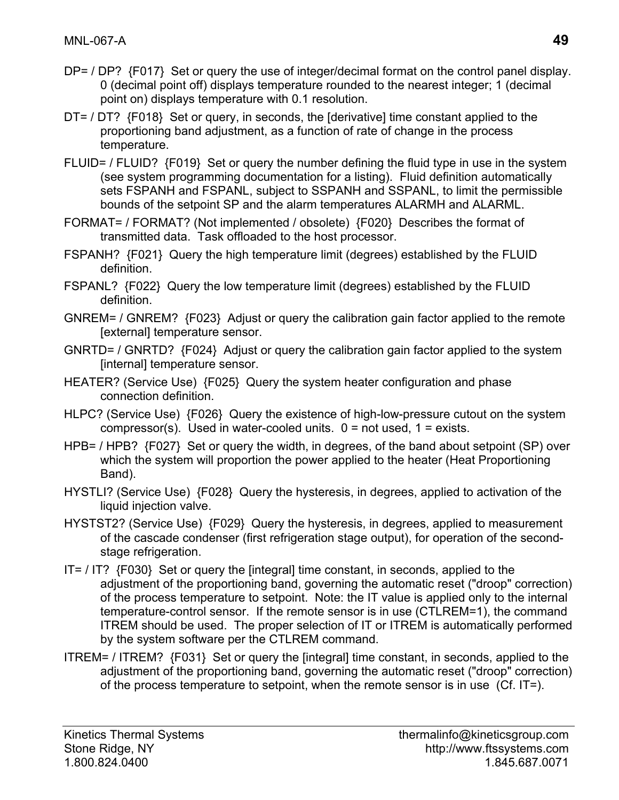- DP= / DP? {F017} Set or query the use of integer/decimal format on the control panel display. 0 (decimal point off) displays temperature rounded to the nearest integer; 1 (decimal point on) displays temperature with 0.1 resolution.
- DT= / DT? {F018} Set or query, in seconds, the [derivative] time constant applied to the proportioning band adjustment, as a function of rate of change in the process temperature.
- FLUID= / FLUID? {F019} Set or query the number defining the fluid type in use in the system (see system programming documentation for a listing). Fluid definition automatically sets FSPANH and FSPANL, subject to SSPANH and SSPANL, to limit the permissible bounds of the setpoint SP and the alarm temperatures ALARMH and ALARML.
- FORMAT= / FORMAT? (Not implemented / obsolete) {F020} Describes the format of transmitted data. Task offloaded to the host processor.
- FSPANH? {F021} Query the high temperature limit (degrees) established by the FLUID definition.
- FSPANL? {F022} Query the low temperature limit (degrees) established by the FLUID definition.
- GNREM= / GNREM? {F023} Adjust or query the calibration gain factor applied to the remote [external] temperature sensor.
- GNRTD= / GNRTD? {F024} Adjust or query the calibration gain factor applied to the system [internal] temperature sensor.
- HEATER? (Service Use) {F025} Query the system heater configuration and phase connection definition.
- HLPC? (Service Use) {F026} Query the existence of high-low-pressure cutout on the system compressor(s). Used in water-cooled units.  $0 = not used$ ,  $1 = exists$ .
- HPB= / HPB? {F027} Set or query the width, in degrees, of the band about setpoint (SP) over which the system will proportion the power applied to the heater (Heat Proportioning Band).
- HYSTLI? (Service Use) {F028} Query the hysteresis, in degrees, applied to activation of the liquid injection valve.
- HYSTST2? (Service Use) {F029} Query the hysteresis, in degrees, applied to measurement of the cascade condenser (first refrigeration stage output), for operation of the secondstage refrigeration.
- IT= / IT? {F030} Set or query the [integral] time constant, in seconds, applied to the adjustment of the proportioning band, governing the automatic reset ("droop" correction) of the process temperature to setpoint. Note: the IT value is applied only to the internal temperature-control sensor. If the remote sensor is in use (CTLREM=1), the command ITREM should be used. The proper selection of IT or ITREM is automatically performed by the system software per the CTLREM command.
- ITREM= / ITREM? {F031} Set or query the [integral] time constant, in seconds, applied to the adjustment of the proportioning band, governing the automatic reset ("droop" correction) of the process temperature to setpoint, when the remote sensor is in use (Cf. IT=).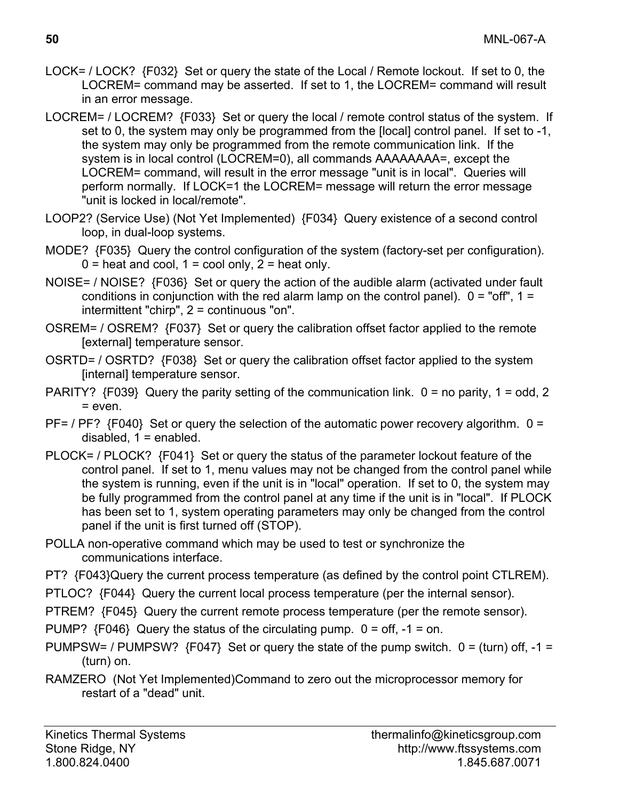- LOCK= / LOCK? {F032} Set or query the state of the Local / Remote lockout. If set to 0, the LOCREM= command may be asserted. If set to 1, the LOCREM= command will result in an error message.
- LOCREM= / LOCREM? {F033} Set or query the local / remote control status of the system. If set to 0, the system may only be programmed from the [local] control panel. If set to -1, the system may only be programmed from the remote communication link. If the system is in local control (LOCREM=0), all commands AAAAAAAA=, except the LOCREM= command, will result in the error message "unit is in local". Queries will perform normally. If LOCK=1 the LOCREM= message will return the error message "unit is locked in local/remote".
- LOOP2? (Service Use) (Not Yet Implemented) {F034} Query existence of a second control loop, in dual-loop systems.
- MODE? {F035} Query the control configuration of the system (factory-set per configuration).  $0 =$  heat and cool,  $1 =$  cool only,  $2 =$  heat only.
- NOISE= / NOISE? {F036} Set or query the action of the audible alarm (activated under fault conditions in conjunction with the red alarm lamp on the control panel).  $0 =$  "off",  $1 =$ intermittent "chirp", 2 = continuous "on".
- OSREM= / OSREM? {F037} Set or query the calibration offset factor applied to the remote [external] temperature sensor.
- OSRTD= / OSRTD? {F038} Set or query the calibration offset factor applied to the system [internal] temperature sensor.
- PARITY? {F039} Query the parity setting of the communication link. 0 = no parity, 1 = odd, 2 = even.
- $PF=$  /  $PF$ ? {F040} Set or query the selection of the automatic power recovery algorithm.  $0 =$ disabled,  $1 =$  enabled.
- PLOCK= / PLOCK? {F041} Set or query the status of the parameter lockout feature of the control panel. If set to 1, menu values may not be changed from the control panel while the system is running, even if the unit is in "local" operation. If set to 0, the system may be fully programmed from the control panel at any time if the unit is in "local". If PLOCK has been set to 1, system operating parameters may only be changed from the control panel if the unit is first turned off (STOP).
- POLLA non-operative command which may be used to test or synchronize the communications interface.
- PT? {F043}Query the current process temperature (as defined by the control point CTLREM).
- PTLOC? {F044} Query the current local process temperature (per the internal sensor).
- PTREM? {F045} Query the current remote process temperature (per the remote sensor).
- PUMP?  ${F046}$  Query the status of the circulating pump.  $0 = off, -1 = on$ .
- PUMPSW= / PUMPSW?  ${F047}$  Set or query the state of the pump switch.  $0 = (turn)$  off,  $-1 =$ (turn) on.
- RAMZERO (Not Yet Implemented)Command to zero out the microprocessor memory for restart of a "dead" unit.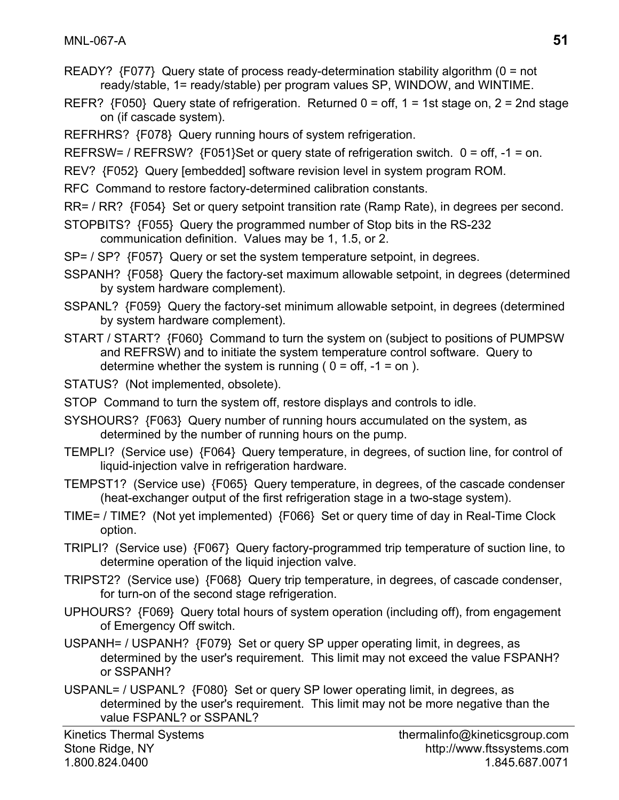- READY? {F077} Query state of process ready-determination stability algorithm (0 = not ready/stable, 1= ready/stable) per program values SP, WINDOW, and WINTIME.
- REFR?  ${F050}$  Query state of refrigeration. Returned  $0 =$  off,  $1 = 1$ st stage on,  $2 = 2$ nd stage on (if cascade system).
- REFRHRS? {F078} Query running hours of system refrigeration.
- REFRSW= / REFRSW? {F051}Set or query state of refrigeration switch. 0 = off, -1 = on.
- REV? {F052} Query [embedded] software revision level in system program ROM.
- RFC Command to restore factory-determined calibration constants.
- RR= / RR? {F054} Set or query setpoint transition rate (Ramp Rate), in degrees per second.
- STOPBITS? {F055} Query the programmed number of Stop bits in the RS-232 communication definition. Values may be 1, 1.5, or 2.
- SP= / SP? {F057} Query or set the system temperature setpoint, in degrees.
- SSPANH? {F058} Query the factory-set maximum allowable setpoint, in degrees (determined by system hardware complement).
- SSPANL? {F059} Query the factory-set minimum allowable setpoint, in degrees (determined by system hardware complement).
- START / START? {F060} Command to turn the system on (subject to positions of PUMPSW and REFRSW) and to initiate the system temperature control software. Query to determine whether the system is running ( $0 = \text{off}, -1 = \text{on}$ ).
- STATUS? (Not implemented, obsolete).
- STOP Command to turn the system off, restore displays and controls to idle.
- SYSHOURS? {F063} Query number of running hours accumulated on the system, as determined by the number of running hours on the pump.
- TEMPLI? (Service use) {F064} Query temperature, in degrees, of suction line, for control of liquid-injection valve in refrigeration hardware.
- TEMPST1? (Service use) {F065} Query temperature, in degrees, of the cascade condenser (heat-exchanger output of the first refrigeration stage in a two-stage system).
- TIME= / TIME? (Not yet implemented) {F066} Set or query time of day in Real-Time Clock option.
- TRIPLI? (Service use) {F067} Query factory-programmed trip temperature of suction line, to determine operation of the liquid injection valve.
- TRIPST2? (Service use) {F068} Query trip temperature, in degrees, of cascade condenser, for turn-on of the second stage refrigeration.
- UPHOURS? {F069} Query total hours of system operation (including off), from engagement of Emergency Off switch.
- USPANH= / USPANH? {F079} Set or query SP upper operating limit, in degrees, as determined by the user's requirement. This limit may not exceed the value FSPANH? or SSPANH?
- USPANL= / USPANL? {F080} Set or query SP lower operating limit, in degrees, as determined by the user's requirement. This limit may not be more negative than the value FSPANL? or SSPANL?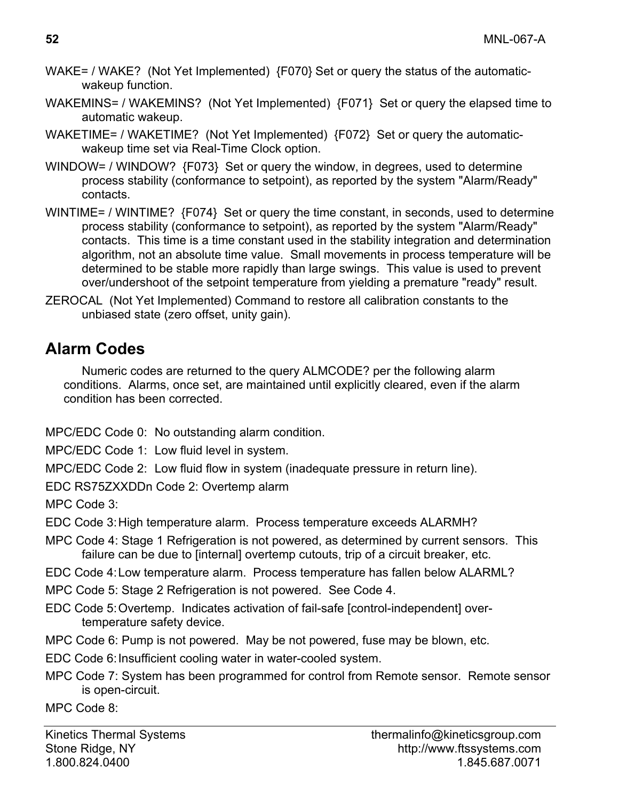- WAKE= / WAKE? (Not Yet Implemented) {F070} Set or query the status of the automaticwakeup function.
- WAKEMINS= / WAKEMINS? (Not Yet Implemented) {F071} Set or query the elapsed time to automatic wakeup.
- WAKETIME= / WAKETIME? (Not Yet Implemented) {F072} Set or query the automaticwakeup time set via Real-Time Clock option.
- WINDOW= / WINDOW? {F073} Set or query the window, in degrees, used to determine process stability (conformance to setpoint), as reported by the system "Alarm/Ready" contacts.
- WINTIME= / WINTIME? {F074} Set or query the time constant, in seconds, used to determine process stability (conformance to setpoint), as reported by the system "Alarm/Ready" contacts. This time is a time constant used in the stability integration and determination algorithm, not an absolute time value. Small movements in process temperature will be determined to be stable more rapidly than large swings. This value is used to prevent over/undershoot of the setpoint temperature from yielding a premature "ready" result.
- ZEROCAL (Not Yet Implemented) Command to restore all calibration constants to the unbiased state (zero offset, unity gain).

## **Alarm Codes**

Numeric codes are returned to the query ALMCODE? per the following alarm conditions. Alarms, once set, are maintained until explicitly cleared, even if the alarm condition has been corrected.

MPC/EDC Code 0: No outstanding alarm condition.

MPC/EDC Code 1: Low fluid level in system.

MPC/EDC Code 2: Low fluid flow in system (inadequate pressure in return line).

EDC RS75ZXXDDn Code 2: Overtemp alarm

MPC Code 3:

EDC Code 3: High temperature alarm. Process temperature exceeds ALARMH?

- MPC Code 4: Stage 1 Refrigeration is not powered, as determined by current sensors. This failure can be due to [internal] overtemp cutouts, trip of a circuit breaker, etc.
- EDC Code 4: Low temperature alarm. Process temperature has fallen below ALARML?
- MPC Code 5: Stage 2 Refrigeration is not powered. See Code 4.
- EDC Code 5: Overtemp. Indicates activation of fail-safe [control-independent] overtemperature safety device.
- MPC Code 6: Pump is not powered. May be not powered, fuse may be blown, etc.
- EDC Code 6: Insufficient cooling water in water-cooled system.
- MPC Code 7: System has been programmed for control from Remote sensor. Remote sensor is open-circuit.

MPC Code 8: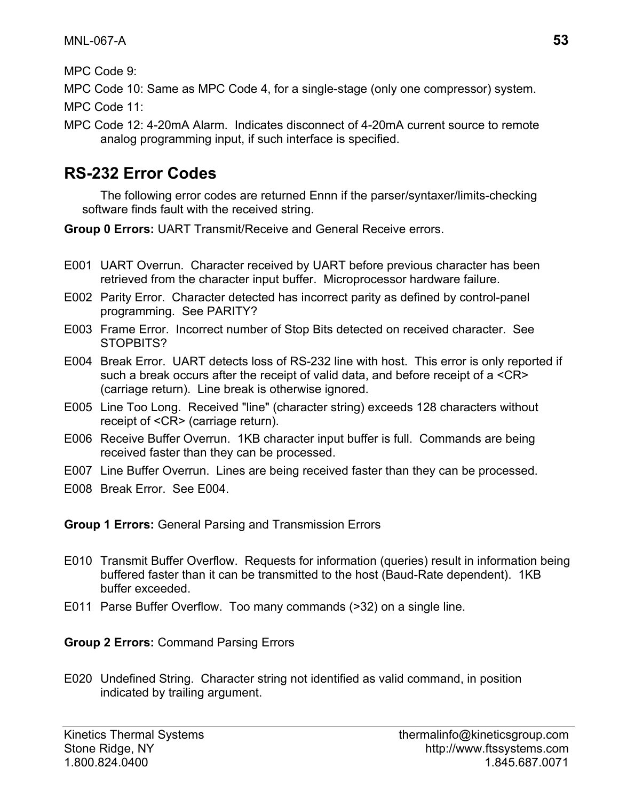MPC Code 9:

MPC Code 10: Same as MPC Code 4, for a single-stage (only one compressor) system.

MPC Code 11:

MPC Code 12: 4-20mA Alarm. Indicates disconnect of 4-20mA current source to remote analog programming input, if such interface is specified.

## **RS-232 Error Codes**

The following error codes are returned Ennn if the parser/syntaxer/limits-checking software finds fault with the received string.

**Group 0 Errors:** UART Transmit/Receive and General Receive errors.

- E001 UART Overrun. Character received by UART before previous character has been retrieved from the character input buffer. Microprocessor hardware failure.
- E002 Parity Error. Character detected has incorrect parity as defined by control-panel programming. See PARITY?
- E003 Frame Error. Incorrect number of Stop Bits detected on received character. See STOPBITS?
- E004 Break Error. UART detects loss of RS-232 line with host. This error is only reported if such a break occurs after the receipt of valid data, and before receipt of a <CR> (carriage return). Line break is otherwise ignored.
- E005 Line Too Long. Received "line" (character string) exceeds 128 characters without receipt of <CR> (carriage return).
- E006 Receive Buffer Overrun. 1KB character input buffer is full. Commands are being received faster than they can be processed.
- E007 Line Buffer Overrun. Lines are being received faster than they can be processed.
- E008 Break Error. See E004.

**Group 1 Errors:** General Parsing and Transmission Errors

- E010 Transmit Buffer Overflow. Requests for information (queries) result in information being buffered faster than it can be transmitted to the host (Baud-Rate dependent). 1KB buffer exceeded.
- E011 Parse Buffer Overflow. Too many commands (>32) on a single line.

#### **Group 2 Errors:** Command Parsing Errors

E020 Undefined String. Character string not identified as valid command, in position indicated by trailing argument.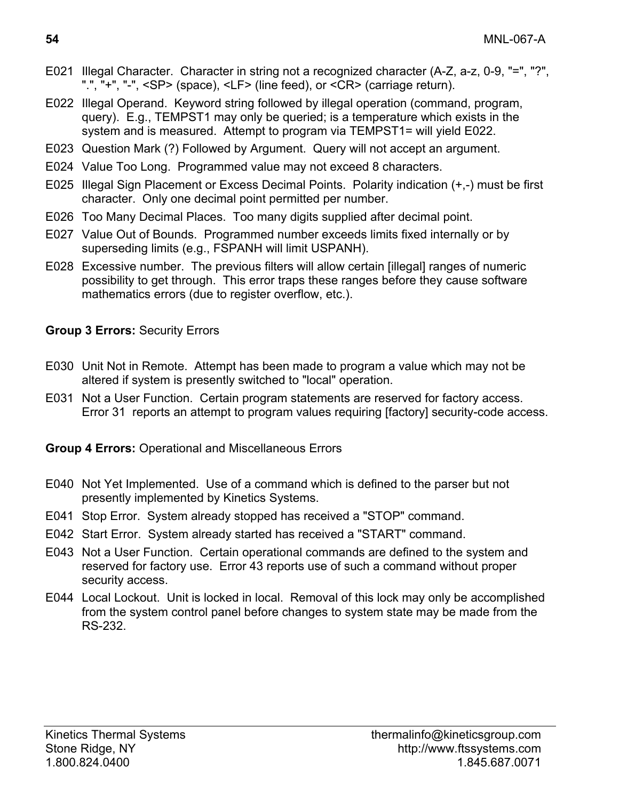- E021 Illegal Character. Character in string not a recognized character (A-Z, a-z, 0-9, "=", "?", ".", "+", "-", <SP> (space), <LF> (line feed), or <CR> (carriage return).
- E022 Illegal Operand. Keyword string followed by illegal operation (command, program, query). E.g., TEMPST1 may only be queried; is a temperature which exists in the system and is measured. Attempt to program via TEMPST1= will yield E022.
- E023 Question Mark (?) Followed by Argument. Query will not accept an argument.
- E024 Value Too Long. Programmed value may not exceed 8 characters.
- E025 Illegal Sign Placement or Excess Decimal Points. Polarity indication (+,-) must be first character. Only one decimal point permitted per number.
- E026 Too Many Decimal Places. Too many digits supplied after decimal point.
- E027 Value Out of Bounds. Programmed number exceeds limits fixed internally or by superseding limits (e.g., FSPANH will limit USPANH).
- E028 Excessive number. The previous filters will allow certain [illegal] ranges of numeric possibility to get through. This error traps these ranges before they cause software mathematics errors (due to register overflow, etc.).

#### **Group 3 Errors:** Security Errors

- E030 Unit Not in Remote. Attempt has been made to program a value which may not be altered if system is presently switched to "local" operation.
- E031 Not a User Function. Certain program statements are reserved for factory access. Error 31 reports an attempt to program values requiring [factory] security-code access.

**Group 4 Errors:** Operational and Miscellaneous Errors

- E040 Not Yet Implemented. Use of a command which is defined to the parser but not presently implemented by Kinetics Systems.
- E041 Stop Error. System already stopped has received a "STOP" command.
- E042 Start Error. System already started has received a "START" command.
- E043 Not a User Function. Certain operational commands are defined to the system and reserved for factory use. Error 43 reports use of such a command without proper security access.
- E044 Local Lockout. Unit is locked in local. Removal of this lock may only be accomplished from the system control panel before changes to system state may be made from the RS-232.